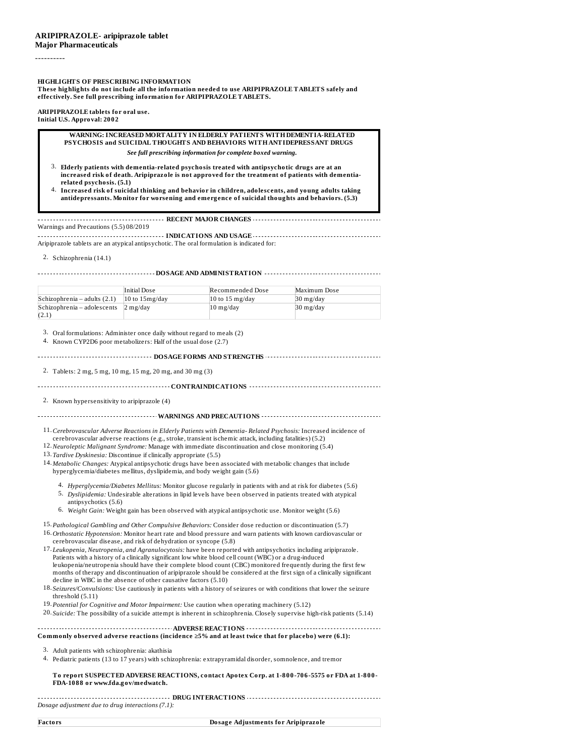### **Major Pharmaceuticals**

----------

**HIGHLIGHTS OF PRESCRIBING INFORMATION**

**These highlights do not include all the information needed to use ARIPIPRAZOLE TABLETS safely and effectively. See full prescribing information for ARIPIPRAZOLE TABLETS.**

**ARIPIPRAZOLE tablets for oral use. Initial U.S. Approval: 2002**

#### **WARNING: INCREASED MORTALITY IN ELDERLY PATIENTS WITHDEMENTIA-RELATED PSYCHOSIS and SUICIDAL THOUGHTS AND BEHAVIORS WITHANTIDEPRESSANT DRUGS** *See full prescribing information for complete boxed warning.*

- 3. **Elderly patients with dementia-related psychosis treated with antipsychotic drugs are at an increased risk of death. Aripiprazole is not approved for the treatment of patients with dementiarelated psychosis. (5.1)**
- 4. **Increased risk of suicidal thinking and behavior in children, adolescents, and young adults taking antidepressants. Monitor for worsening and emergence of suicidal thoughts and behaviors. (5.3)**

Warnings and Precautions (5.5) 08/2019

**RECENT MAJOR CHANGES**

**INDICATIONS AND USAGE INDICATIONS AND USAGE** *CONSIDERATIONS* Aripiprazole tablets are an atypical antipsychotic. The oral formulation is indicated for:

2. Schizophrenia (14.1)

**DOSAGE AND ADMINISTRATION**

|                                      | Initial Dose        | Recommended Dose | Maximum Dose         |
|--------------------------------------|---------------------|------------------|----------------------|
| Schizophrenia – adults (2.1)         | $10$ to $15$ mg/day | 10 to 15 mg/day  | $30 \text{ m}$ g/dav |
| Schizophrenia – adolescents 2 mg/day |                     | $10$ mg/day      | $30 \text{ mg/day}$  |
| (2.1)                                |                     |                  |                      |

3. Oral formulations: Administer once daily without regard to meals (2)

4. Known CYP2D6 poor metabolizers: Half of the usual dose (2.7)

2. Tablets: 2 mg, 5 mg, 10 mg, 15 mg, 20 mg, and 30 mg (3) **CONTRAINDICATIONS CONTRAINDICATIONS CONTRAINDICATIONS** 2. Known hypersensitivity to aripiprazole (4) **WARNINGS AND PRECAUTIONS**

**DOSAGE FORMS AND STRENGTHS**

11. *Cerebrovascular Adverse Reactions in Elderly Patients with Dementia- Related Psychosis:* Increased incidence of cerebrovascular adverse reactions (e.g., stroke, transient ischemic attack, including fatalities) (5.2)

12. *Neuroleptic Malignant Syndrome:* Manage with immediate discontinuation and close monitoring (5.4)

13. *Tardive Dyskinesia:* Discontinue if clinically appropriate (5.5)

14. *Metabolic Changes:* Atypical antipsychotic drugs have been associated with metabolic changes that include hyperglycemia/diabetes mellitus, dyslipidemia, and body weight gain (5.6)

- 4. *Hyperglycemia/Diabetes Mellitus:* Monitor glucose regularly in patients with and at risk for diabetes (5.6) 5. *Dyslipidemia:* Undesirable alterations in lipid levels have been observed in patients treated with atypical antipsychotics (5.6)
- 6. *Weight Gain:* Weight gain has been observed with atypical antipsychotic use. Monitor weight (5.6)
- 15. *Pathological Gambling and Other Compulsive Behaviors:* Consider dose reduction or discontinuation (5.7)
- 16. *Orthostatic Hypotension:* Monitor heart rate and blood pressure and warn patients with known cardiovascular or cerebrovascular disease, and risk of dehydration or syncope (5.8)

17. *Leukopenia, Neutropenia, and Agranulocytosis:* have been reported with antipsychotics including aripiprazole. Patients with a history of a clinically significant low white blood cell count (WBC) or a drug-induced leukopenia/neutropenia should have their complete blood count (CBC) monitored frequently during the first few months of therapy and discontinuation of aripiprazole should be considered at the first sign of a clinically significant decline in WBC in the absence of other causative factors (5.10)

18. *Seizures/Convulsions:* Use cautiously in patients with a history of seizures or with conditions that lower the seizure threshold (5.11)

19. *Potential for Cognitive and Motor Impairment:* Use caution when operating machinery (5.12)

20. *Suicide:* The possibility of a suicide attempt is inherent in schizophrenia. Closely supervise high-risk patients (5.14)

#### **ADVERSE REACTIONS Commonly observed adverse reactions (incidence ≥5% and at least twice that for placebo) were (6.1):**

3. Adult patients with schizophrenia: akathisia

4. Pediatric patients (13 to 17 years) with schizophrenia: extrapyramidal disorder, somnolence, and tremor

**To report SUSPECTED ADVERSE REACTIONS, contact Apotex Corp. at 1-800-706-5575 or FDA at 1-800- FDA-1088 or www.fda.gov/medwatch.**

**DRUG INTERACTIONS CONFIDENTIONS CONFIDENTIONS** *Dosage adjustment due to drug interactions (7.1):*

**Factors Dosage Adjustments for Aripiprazole**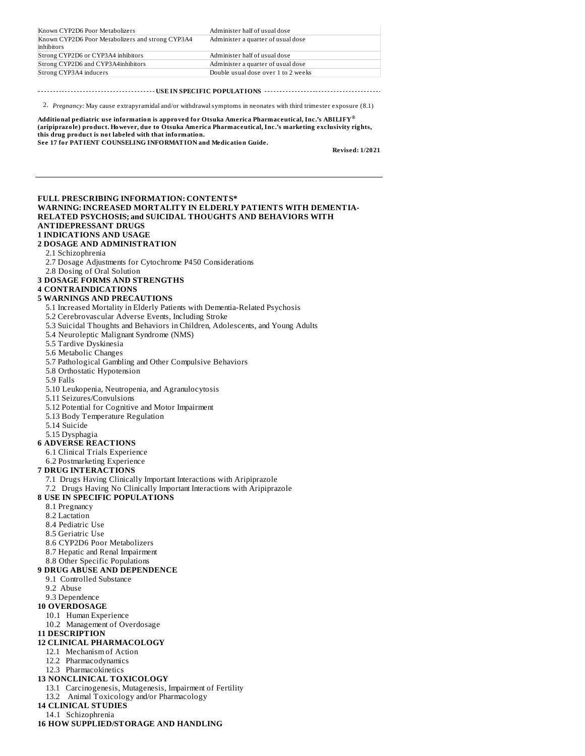| Known CYP2D6 Poor Metabolizers                                 | Administer half of usual dose       |
|----------------------------------------------------------------|-------------------------------------|
| Known CYP2D6 Poor Metabolizers and strong CYP3A4<br>inhibitors | Administer a quarter of usual dose  |
|                                                                |                                     |
| Strong CYP2D6 or CYP3A4 inhibitors                             | Administer half of usual dose       |
| Strong CYP2D6 and CYP3A4inhibitors                             | Administer a quarter of usual dose  |
| Strong CYP3A4 inducers                                         | Double usual dose over 1 to 2 weeks |
|                                                                |                                     |

**USE IN SPECIFIC POPULATIONS**

2. *Pregnancy:* May cause extrapyramidal and/or withdrawalsymptoms in neonates with third trimester exposure (8.1)

**Additional pediatric use information is approved for Otsuka America Pharmaceutical, Inc.'s ABILIFY ®(aripiprazole) product. However, due to Otsuka America Pharmaceutical, Inc.'s marketing exclusivity rights, this drug product is not labeled with that information.**

**See 17 for PATIENT COUNSELING INFORMATION and Medication Guide.**

**Revised: 1/2021**

### **FULL PRESCRIBING INFORMATION: CONTENTS\* WARNING:INCREASED MORTALITY IN ELDERLY PATIENTS WITH DEMENTIA-RELATED PSYCHOSIS; and SUICIDAL THOUGHTS AND BEHAVIORS WITH ANTIDEPRESSANT DRUGS 1 INDICATIONS AND USAGE**

#### **2 DOSAGE AND ADMINISTRATION**

- 2.1 Schizophrenia
- 2.7 Dosage Adjustments for Cytochrome P450 Considerations
- 2.8 Dosing of Oral Solution
- **3 DOSAGE FORMS AND STRENGTHS**

#### **4 CONTRAINDICATIONS**

# **5 WARNINGS AND PRECAUTIONS**

- 5.1 Increased Mortality in Elderly Patients with Dementia-Related Psychosis
- 5.2 Cerebrovascular Adverse Events, Including Stroke
- 5.3 Suicidal Thoughts and Behaviors in Children, Adolescents, and Young Adults
- 5.4 Neuroleptic Malignant Syndrome (NMS)
- 5.5 Tardive Dyskinesia
- 5.6 Metabolic Changes
- 5.7 Pathological Gambling and Other Compulsive Behaviors
- 5.8 Orthostatic Hypotension
- 5.9 Falls
- 5.10 Leukopenia, Neutropenia, and Agranulocytosis
- 5.11 Seizures/Convulsions
- 5.12 Potential for Cognitive and Motor Impairment
- 5.13 Body Temperature Regulation
- 5.14 Suicide
- 5.15 Dysphagia

#### **6 ADVERSE REACTIONS**

- 6.1 Clinical Trials Experience
- 6.2 Postmarketing Experience

#### **7 DRUG INTERACTIONS**

- 7.1 Drugs Having Clinically Important Interactions with Aripiprazole
- 7.2 Drugs Having No Clinically Important Interactions with Aripiprazole

#### **8 USE IN SPECIFIC POPULATIONS**

- 8.1 Pregnancy
- 8.2 Lactation
- 8.4 Pediatric Use
- 8.5 Geriatric Use
- 8.6 CYP2D6 Poor Metabolizers
- 8.7 Hepatic and Renal Impairment
- 8.8 Other Specific Populations

#### **9 DRUG ABUSE AND DEPENDENCE**

- 9.1 Controlled Substance
- 9.2 Abuse
- 9.3 Dependence

#### **10 OVERDOSAGE**

- 10.1 Human Experience
- 10.2 Management of Overdosage
- **11 DESCRIPTION**

#### **12 CLINICAL PHARMACOLOGY**

- 12.1 Mechanism of Action
- 12.2 Pharmacodynamics
- 12.3 Pharmacokinetics

#### **13 NONCLINICAL TOXICOLOGY**

- 13.1 Carcinogenesis, Mutagenesis, Impairment of Fertility
- 13.2 Animal Toxicology and/or Pharmacology

# **14 CLINICAL STUDIES**

14.1 Schizophrenia

# **16 HOW SUPPLIED/STORAGE AND HANDLING**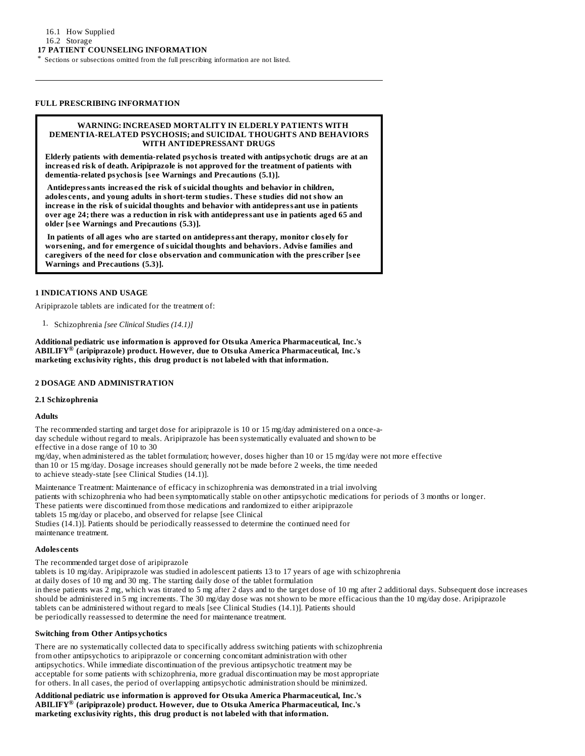16.2 Storage

#### **17 PATIENT COUNSELING INFORMATION**

\* Sections or subsections omitted from the full prescribing information are not listed.

#### **FULL PRESCRIBING INFORMATION**

#### **WARNING:INCREASED MORTALITY IN ELDERLY PATIENTS WITH DEMENTIA-RELATED PSYCHOSIS; and SUICIDAL THOUGHTS AND BEHAVIORS WITH ANTIDEPRESSANT DRUGS**

**Elderly patients with dementia-related psychosis treated with antipsychotic drugs are at an increas ed risk of death. Aripiprazole is not approved for the treatment of patients with dementia-related psychosis [s ee Warnings and Precautions (5.1)].**

**Antidepressants increas ed the risk of suicidal thoughts and behavior in children, adoles cents, and young adults in short-term studies. Thes e studies did not show an increas e in the risk of suicidal thoughts and behavior with antidepressant us e in patients over age 24; there was a reduction in risk with antidepressant us e in patients aged 65 and older [s ee Warnings and Precautions (5.3)].**

**In patients of all ages who are started on antidepressant therapy, monitor clos ely for wors ening, and for emergence of suicidal thoughts and behaviors. Advis e families and caregivers of the need for clos e obs ervation and communication with the pres criber [s ee Warnings and Precautions (5.3)].**

### **1 INDICATIONS AND USAGE**

Aripiprazole tablets are indicated for the treatment of:

1. Schizophrenia *[see Clinical Studies (14.1)]*

**Additional pediatric us e information is approved for Otsuka America Pharmaceutical, Inc.'s ABILIFY (aripiprazole) product. However, due to Otsuka America Pharmaceutical, Inc.'s ® marketing exclusivity rights, this drug product is not labeled with that information.**

#### **2 DOSAGE AND ADMINISTRATION**

#### **2.1 Schizophrenia**

#### **Adults**

The recommended starting and target dose for aripiprazole is 10 or 15 mg/day administered on a once-aday schedule without regard to meals. Aripiprazole has been systematically evaluated and shown to be effective in a dose range of 10 to 30 mg/day, when administered as the tablet formulation; however, doses higher than 10 or 15 mg/day were not more effective than 10 or 15 mg/day. Dosage increases should generally not be made before 2 weeks, the time needed to achieve steady-state [see Clinical Studies (14.1)].

Maintenance Treatment: Maintenance of efficacy in schizophrenia was demonstrated in a trial involving patients with schizophrenia who had been symptomatically stable on other antipsychotic medications for periods of 3 months or longer. These patients were discontinued from those medications and randomized to either aripiprazole tablets 15 mg/day or placebo, and observed for relapse [see Clinical Studies (14.1)]. Patients should be periodically reassessed to determine the continued need for maintenance treatment.

#### **Adoles cents**

The recommended target dose of aripiprazole tablets is 10 mg/day. Aripiprazole was studied in adolescent patients 13 to 17 years of age with schizophrenia at daily doses of 10 mg and 30 mg. The starting daily dose of the tablet formulation in these patients was 2 mg, which was titrated to 5 mg after 2 days and to the target dose of 10 mg after 2 additional days. Subsequent dose increases should be administered in 5 mg increments. The 30 mg/day dose was not shown to be more efficacious than the 10 mg/day dose. Aripiprazole tablets can be administered without regard to meals [see Clinical Studies (14.1)]. Patients should be periodically reassessed to determine the need for maintenance treatment.

#### **Switching from Other Antipsychotics**

There are no systematically collected data to specifically address switching patients with schizophrenia from other antipsychotics to aripiprazole or concerning concomitant administration with other antipsychotics. While immediate discontinuation of the previous antipsychotic treatment may be acceptable for some patients with schizophrenia, more gradual discontinuation may be most appropriate for others. In all cases, the period of overlapping antipsychotic administration should be minimized.

**Additional pediatric us e information is approved for Otsuka America Pharmaceutical, Inc.'s ABILIFY (aripiprazole) product. However, due to Otsuka America Pharmaceutical, Inc.'s ®marketing exclusivity rights, this drug product is not labeled with that information.**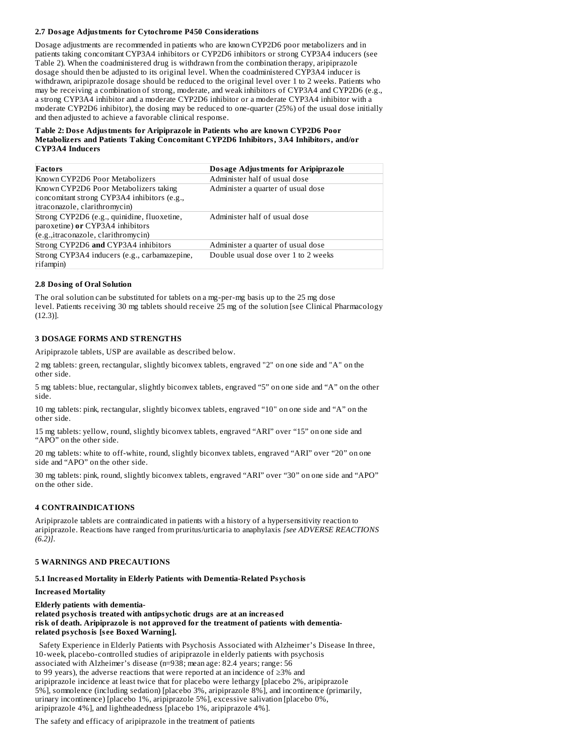### **2.7 Dosage Adjustments for Cytochrome P450 Considerations**

Dosage adjustments are recommended in patients who are known CYP2D6 poor metabolizers and in patients taking concomitant CYP3A4 inhibitors or CYP2D6 inhibitors or strong CYP3A4 inducers (see Table 2). When the coadministered drug is withdrawn from the combination therapy, aripiprazole dosage should then be adjusted to its original level. When the coadministered CYP3A4 inducer is withdrawn, aripiprazole dosage should be reduced to the original level over 1 to 2 weeks. Patients who may be receiving a combination of strong, moderate, and weak inhibitors of CYP3A4 and CYP2D6 (e.g., a strong CYP3A4 inhibitor and a moderate CYP2D6 inhibitor or a moderate CYP3A4 inhibitor with a moderate CYP2D6 inhibitor), the dosing may be reduced to one-quarter (25%) of the usual dose initially and then adjusted to achieve a favorable clinical response.

### **Table 2: Dos e Adjustments for Aripiprazole in Patients who are known CYP2D6 Poor Metabolizers and Patients Taking Concomitant CYP2D6 Inhibitors, 3A4 Inhibitors, and/or CYP3A4 Inducers**

| <b>Factors</b>                                                                                                          | Dosage Adjustments for Aripiprazole |
|-------------------------------------------------------------------------------------------------------------------------|-------------------------------------|
| Known CYP2D6 Poor Metabolizers                                                                                          | Administer half of usual dose       |
| Known CYP2D6 Poor Metabolizers taking<br>concomitant strong CYP3A4 inhibitors (e.g.,<br>itraconazole, clarithromycin)   | Administer a quarter of usual dose  |
| Strong CYP2D6 (e.g., quinidine, fluoxetine,<br>paroxetine) or CYP3A4 inhibitors<br>(e.g., itraconazole, clarithromycin) | Administer half of usual dose       |
| Strong CYP2D6 and CYP3A4 inhibitors                                                                                     | Administer a quarter of usual dose  |
| Strong CYP3A4 inducers (e.g., carbamazepine,<br>rifampin)                                                               | Double usual dose over 1 to 2 weeks |

### **2.8 Dosing of Oral Solution**

The oral solution can be substituted for tablets on a mg-per-mg basis up to the 25 mg dose level. Patients receiving 30 mg tablets should receive 25 mg of the solution [see Clinical Pharmacology (12.3)].

### **3 DOSAGE FORMS AND STRENGTHS**

Aripiprazole tablets, USP are available as described below.

2 mg tablets: green, rectangular, slightly biconvex tablets, engraved "2" on one side and "A" on the other side.

5 mg tablets: blue, rectangular, slightly biconvex tablets, engraved "5" on one side and "A" on the other side.

10 mg tablets: pink, rectangular, slightly biconvex tablets, engraved "10" on one side and "A" on the other side.

15 mg tablets: yellow, round, slightly biconvex tablets, engraved "ARI" over "15" on one side and "APO" on the other side.

20 mg tablets: white to off-white, round, slightly biconvex tablets, engraved "ARI" over "20" on one side and "APO" on the other side.

30 mg tablets: pink, round, slightly biconvex tablets, engraved "ARI" over "30" on one side and "APO" on the other side.

### **4 CONTRAINDICATIONS**

Aripiprazole tablets are contraindicated in patients with a history of a hypersensitivity reaction to aripiprazole. Reactions have ranged from pruritus/urticaria to anaphylaxis *[see ADVERSE REACTIONS (6.2)]*.

### **5 WARNINGS AND PRECAUTIONS**

### **5.1 Increas ed Mortality in Elderly Patients with Dementia-Related Psychosis**

### **Increas ed Mortality**

### **Elderly patients with dementia-**

### **related psychosis treated with antipsychotic drugs are at an increas ed risk of death. Aripiprazole is not approved for the treatment of patients with dementiarelated psychosis [s ee Boxed Warning].**

Safety Experience in Elderly Patients with Psychosis Associated with Alzheimer's Disease In three, 10-week, placebo-controlled studies of aripiprazole in elderly patients with psychosis associated with Alzheimer's disease (n=938; mean age: 82.4 years; range: 56 to 99 years), the adverse reactions that were reported at an incidence of ≥3% and aripiprazole incidence at least twice that for placebo were lethargy [placebo 2%, aripiprazole 5%], somnolence (including sedation) [placebo 3%, aripiprazole 8%], and incontinence (primarily, urinary incontinence) [placebo 1%, aripiprazole 5%], excessive salivation [placebo 0%, aripiprazole 4%], and lightheadedness [placebo 1%, aripiprazole 4%].

The safety and efficacy of aripiprazole in the treatment of patients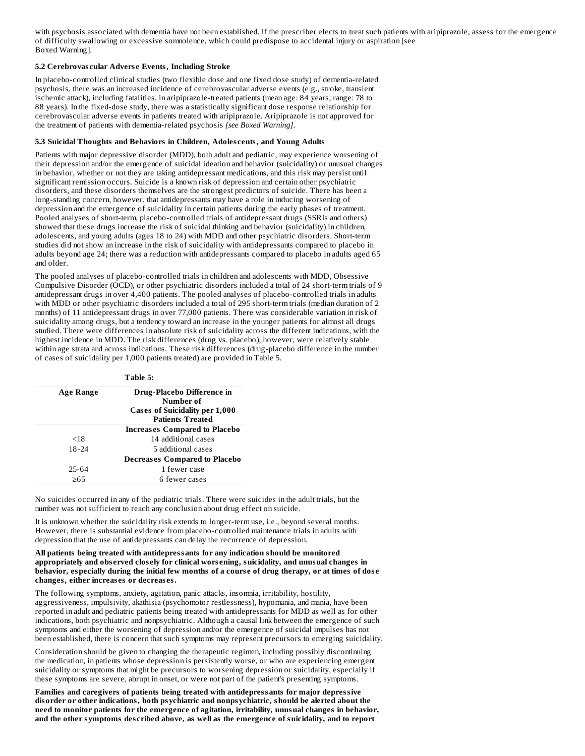with psychosis associated with dementia have not been established. If the prescriber elects to treat such patients with aripiprazole, assess for the emergence of difficulty swallowing or excessive somnolence, which could predispose to accidental injury or aspiration [see Boxed Warning].

### **5.2 Cerebrovas cular Advers e Events, Including Stroke**

In placebo-controlled clinical studies (two flexible dose and one fixed dose study) of dementia-related psychosis, there was an increased incidence of cerebrovascular adverse events (e.g., stroke, transient ischemic attack), including fatalities, in aripiprazole-treated patients (mean age: 84 years; range: 78 to 88 years). In the fixed-dose study, there was a statistically significant dose response relationship for cerebrovascular adverse events in patients treated with aripiprazole. Aripiprazole is not approved for the treatment of patients with dementia-related psychosis *[see Boxed Warning]*.

### **5.3 Suicidal Thoughts and Behaviors in Children, Adoles cents, and Young Adults**

Patients with major depressive disorder (MDD), both adult and pediatric, may experience worsening of their depression and/or the emergence of suicidal ideation and behavior (suicidality) or unusual changes in behavior, whether or not they are taking antidepressant medications, and this risk may persist until significant remission occurs. Suicide is a known risk of depression and certain other psychiatric disorders, and these disorders themselves are the strongest predictors of suicide. There has been a long-standing concern, however, that antidepressants may have a role in inducing worsening of depression and the emergence of suicidality in certain patients during the early phases of treatment. Pooled analyses of short-term, placebo-controlled trials of antidepressant drugs (SSRIs and others) showed that these drugs increase the risk of suicidal thinking and behavior (suicidality) in children, adolescents, and young adults (ages 18 to 24) with MDD and other psychiatric disorders. Short-term studies did not show an increase in the risk of suicidality with antidepressants compared to placebo in adults beyond age 24; there was a reduction with antidepressants compared to placebo in adults aged 65 and older.

The pooled analyses of placebo-controlled trials in children and adolescents with MDD, Obsessive Compulsive Disorder (OCD), or other psychiatric disorders included a total of 24 short-term trials of 9 antidepressant drugs in over 4,400 patients. The pooled analyses of placebo-controlled trials in adults with MDD or other psychiatric disorders included a total of 295 short-term trials (median duration of 2 months) of 11 antidepressant drugs in over 77,000 patients. There was considerable variation in risk of suicidality among drugs, but a tendency toward an increase in the younger patients for almost all drugs studied. There were differences in absolute risk of suicidality across the different indications, with the highest incidence in MDD. The risk differences (drug vs. placebo), however, were relatively stable within age strata and across indications. These risk differences (drug-placebo difference in the number of cases of suicidality per 1,000 patients treated) are provided in Table 5.

**Table 5:**

| <b>Age Range</b> | Drug-Placebo Difference in           |  |
|------------------|--------------------------------------|--|
|                  | Number of                            |  |
|                  | Cases of Suicidality per 1,000       |  |
|                  | <b>Patients Treated</b>              |  |
|                  | <b>Increases Compared to Placebo</b> |  |
| $<$ 18           | 14 additional cases                  |  |
| 18-24            | 5 additional cases                   |  |
|                  | <b>Decreases Compared to Placebo</b> |  |
| 25-64            | 1 fewer case                         |  |
| >65              | 6 fewer cases                        |  |

No suicides occurred in any of the pediatric trials. There were suicides in the adult trials, but the number was not sufficient to reach any conclusion about drug effect on suicide.

It is unknown whether the suicidality risk extends to longer-term use, i.e., beyond several months. However, there is substantial evidence from placebo-controlled maintenance trials in adults with depression that the use of antidepressants can delay the recurrence of depression.

#### **All patients being treated with antidepressants for any indication should be monitored appropriately and obs erved clos ely for clinical wors ening, suicidality, and unusual changes in** behavior, especially during the initial few months of a course of drug therapy, or at times of dose **changes, either increas es or decreas es.**

The following symptoms, anxiety, agitation, panic attacks, insomnia, irritability, hostility, aggressiveness, impulsivity, akathisia (psychomotor restlessness), hypomania, and mania, have been reported in adult and pediatric patients being treated with antidepressants for MDD as well as for other indications, both psychiatric and nonpsychiatric. Although a causal link between the emergence of such symptoms and either the worsening of depression and/or the emergence of suicidal impulses has not been established, there is concern that such symptoms may represent precursors to emerging suicidality.

Consideration should be given to changing the therapeutic regimen, including possibly discontinuing the medication, in patients whose depression is persistently worse, or who are experiencing emergent suicidality or symptoms that might be precursors to worsening depression or suicidality, especially if these symptoms are severe, abrupt in onset, or were not part of the patient's presenting symptoms.

**Families and caregivers of patients being treated with antidepressants for major depressive disorder or other indications, both psychiatric and nonpsychiatric, should be alerted about the need to monitor patients for the emergence of agitation, irritability, unusual changes in behavior, and the other symptoms des cribed above, as well as the emergence of suicidality, and to report**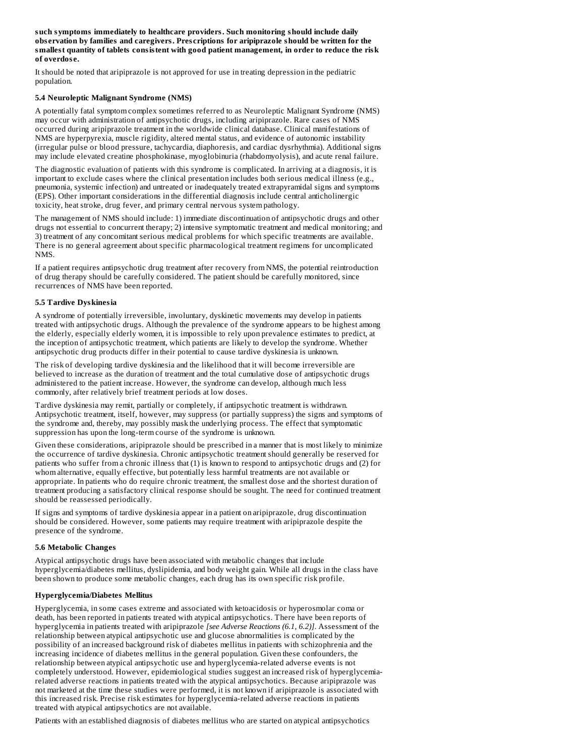**such symptoms immediately to healthcare providers. Such monitoring should include daily obs ervation by families and caregivers. Pres criptions for aripiprazole should be written for the smallest quantity of tablets consistent with good patient management, in order to reduce the risk of overdos e.**

It should be noted that aripiprazole is not approved for use in treating depression in the pediatric population.

### **5.4 Neuroleptic Malignant Syndrome (NMS)**

A potentially fatal symptom complex sometimes referred to as Neuroleptic Malignant Syndrome (NMS) may occur with administration of antipsychotic drugs, including aripiprazole. Rare cases of NMS occurred during aripiprazole treatment in the worldwide clinical database. Clinical manifestations of NMS are hyperpyrexia, muscle rigidity, altered mental status, and evidence of autonomic instability (irregular pulse or blood pressure, tachycardia, diaphoresis, and cardiac dysrhythmia). Additional signs may include elevated creatine phosphokinase, myoglobinuria (rhabdomyolysis), and acute renal failure.

The diagnostic evaluation of patients with this syndrome is complicated. In arriving at a diagnosis, it is important to exclude cases where the clinical presentation includes both serious medical illness (e.g., pneumonia, systemic infection) and untreated or inadequately treated extrapyramidal signs and symptoms (EPS). Other important considerations in the differential diagnosis include central anticholinergic toxicity, heat stroke, drug fever, and primary central nervous system pathology.

The management of NMS should include: 1) immediate discontinuation of antipsychotic drugs and other drugs not essential to concurrent therapy; 2) intensive symptomatic treatment and medical monitoring; and 3) treatment of any concomitant serious medical problems for which specific treatments are available. There is no general agreement about specific pharmacological treatment regimens for uncomplicated NMS.

If a patient requires antipsychotic drug treatment after recovery from NMS, the potential reintroduction of drug therapy should be carefully considered. The patient should be carefully monitored, since recurrences of NMS have been reported.

#### **5.5 Tardive Dyskinesia**

A syndrome of potentially irreversible, involuntary, dyskinetic movements may develop in patients treated with antipsychotic drugs. Although the prevalence of the syndrome appears to be highest among the elderly, especially elderly women, it is impossible to rely upon prevalence estimates to predict, at the inception of antipsychotic treatment, which patients are likely to develop the syndrome. Whether antipsychotic drug products differ in their potential to cause tardive dyskinesia is unknown.

The risk of developing tardive dyskinesia and the likelihood that it will become irreversible are believed to increase as the duration of treatment and the total cumulative dose of antipsychotic drugs administered to the patient increase. However, the syndrome can develop, although much less commonly, after relatively brief treatment periods at low doses.

Tardive dyskinesia may remit, partially or completely, if antipsychotic treatment is withdrawn. Antipsychotic treatment, itself, however, may suppress (or partially suppress) the signs and symptoms of the syndrome and, thereby, may possibly mask the underlying process. The effect that symptomatic suppression has upon the long-term course of the syndrome is unknown.

Given these considerations, aripiprazole should be prescribed in a manner that is most likely to minimize the occurrence of tardive dyskinesia. Chronic antipsychotic treatment should generally be reserved for patients who suffer from a chronic illness that (1) is known to respond to antipsychotic drugs and (2) for whom alternative, equally effective, but potentially less harmful treatments are not available or appropriate. In patients who do require chronic treatment, the smallest dose and the shortest duration of treatment producing a satisfactory clinical response should be sought. The need for continued treatment should be reassessed periodically.

If signs and symptoms of tardive dyskinesia appear in a patient on aripiprazole, drug discontinuation should be considered. However, some patients may require treatment with aripiprazole despite the presence of the syndrome.

#### **5.6 Metabolic Changes**

Atypical antipsychotic drugs have been associated with metabolic changes that include hyperglycemia/diabetes mellitus, dyslipidemia, and body weight gain. While all drugs in the class have been shown to produce some metabolic changes, each drug has its own specific risk profile.

### **Hyperglycemia/Diabetes Mellitus**

Hyperglycemia, in some cases extreme and associated with ketoacidosis or hyperosmolar coma or death, has been reported in patients treated with atypical antipsychotics. There have been reports of hyperglycemia in patients treated with aripiprazole *[see Adverse Reactions (6.1, 6.2)]*. Assessment of the relationship between atypical antipsychotic use and glucose abnormalities is complicated by the possibility of an increased background risk of diabetes mellitus in patients with schizophrenia and the increasing incidence of diabetes mellitus in the general population. Given these confounders, the relationship between atypical antipsychotic use and hyperglycemia-related adverse events is not completely understood. However, epidemiological studies suggest an increased risk of hyperglycemiarelated adverse reactions in patients treated with the atypical antipsychotics. Because aripiprazole was not marketed at the time these studies were performed, it is not known if aripiprazole is associated with this increased risk. Precise risk estimates for hyperglycemia-related adverse reactions in patients treated with atypical antipsychotics are not available.

Patients with an established diagnosis of diabetes mellitus who are started on atypical antipsychotics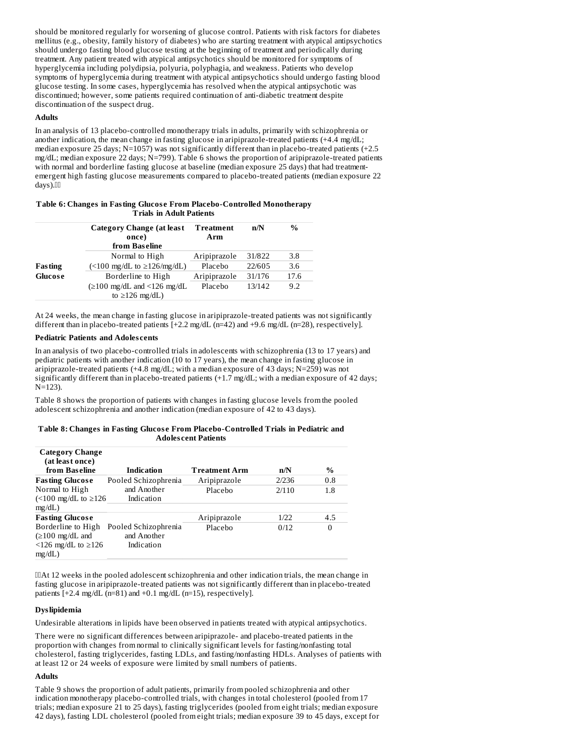should be monitored regularly for worsening of glucose control. Patients with risk factors for diabetes mellitus (e.g., obesity, family history of diabetes) who are starting treatment with atypical antipsychotics should undergo fasting blood glucose testing at the beginning of treatment and periodically during treatment. Any patient treated with atypical antipsychotics should be monitored for symptoms of hyperglycemia including polydipsia, polyuria, polyphagia, and weakness. Patients who develop symptoms of hyperglycemia during treatment with atypical antipsychotics should undergo fasting blood glucose testing. In some cases, hyperglycemia has resolved when the atypical antipsychotic was discontinued; however, some patients required continuation of anti-diabetic treatment despite discontinuation of the suspect drug.

### **Adults**

In an analysis of 13 placebo-controlled monotherapy trials in adults, primarily with schizophrenia or another indication, the mean change in fasting glucose in aripiprazole-treated patients (+4.4 mg/dL; median exposure 25 days; N=1057) was not significantly different than in placebo-treated patients (+2.5 mg/dL; median exposure 22 days; N=799). Table 6 shows the proportion of aripiprazole-treated patients with normal and borderline fasting glucose at baseline (median exposure 25 days) that had treatmentemergent high fasting glucose measurements compared to placebo-treated patients (median exposure 22 days).

#### **Table 6: Changes in Fasting Glucos e From Placebo-Controlled Monotherapy Trials in Adult Patients**

|                | Category Change (at least<br>once)                             | <b>Treatment</b><br>Arm | n/N    | $\%$ |
|----------------|----------------------------------------------------------------|-------------------------|--------|------|
|                | from Baseline                                                  |                         |        |      |
|                | Normal to High                                                 | Aripiprazole            | 31/822 | 3.8  |
| <b>Fasting</b> | $\left($ <100 mg/dL to $\geq$ 126/mg/dL)                       | Placebo                 | 22/605 | 3.6  |
| Glucose        | Borderline to High                                             | Aripiprazole            | 31/176 | 17.6 |
|                | $(\geq 100 \text{ mg/dL} \text{ and } \leq 126 \text{ mg/dL})$ | Placebo                 | 13/142 | 9.2  |
|                | to $\geq$ 126 mg/dL)                                           |                         |        |      |

At 24 weeks, the mean change in fasting glucose in aripiprazole-treated patients was not significantly different than in placebo-treated patients [+2.2 mg/dL (n=42) and +9.6 mg/dL (n=28), respectively].

### **Pediatric Patients and Adoles cents**

In an analysis of two placebo-controlled trials in adolescents with schizophrenia (13 to 17 years) and pediatric patients with another indication (10 to 17 years), the mean change in fasting glucose in aripiprazole-treated patients (+4.8 mg/dL; with a median exposure of 43 days; N=259) was not significantly different than in placebo-treated patients (+1.7 mg/dL; with a median exposure of 42 days; N=123).

Table 8 shows the proportion of patients with changes in fasting glucose levels from the pooled adolescent schizophrenia and another indication (median exposure of 42 to 43 days).

#### **Table 8: Changes in Fasting Glucos e From Placebo-Controlled Trials in Pediatric and Adoles cent Patients**

| <b>Category Change</b>           |                      |                      |       |                  |
|----------------------------------|----------------------|----------------------|-------|------------------|
| (at least once)<br>from Baseline | <b>Indication</b>    | <b>Treatment Arm</b> | n/N   | $\%$             |
| <b>Fasting Glucose</b>           | Pooled Schizophrenia | Aripiprazole         | 2/236 | 0.8              |
| Normal to High                   | and Another          | Placebo              | 2/110 | 1.8              |
| $\leq 100$ mg/dL to $\geq 126$   | Indication           |                      |       |                  |
| mg/dL)                           |                      |                      |       |                  |
| <b>Fasting Glucose</b>           |                      | Aripiprazole         | 1/22  | 4.5              |
| Borderline to High               | Pooled Schizophrenia | Placebo              | 0/12  | $\boldsymbol{0}$ |
| $(\geq 100 \text{ mg/dL}$ and    | and Another          |                      |       |                  |
| $\leq$ 126 mg/dL to $\geq$ 126   | Indication           |                      |       |                  |
| $mg/dL$ )                        |                      |                      |       |                  |

At 12 weeks in the pooled adolescent schizophrenia and other indication trials, the mean change in fasting glucose in aripiprazole-treated patients was not significantly different than in placebo-treated patients [+2.4 mg/dL (n=81) and +0.1 mg/dL (n=15), respectively].

### **Dyslipidemia**

Undesirable alterations in lipids have been observed in patients treated with atypical antipsychotics.

There were no significant differences between aripiprazole- and placebo-treated patients in the proportion with changes from normal to clinically significant levels for fasting/nonfasting total cholesterol, fasting triglycerides, fasting LDLs, and fasting/nonfasting HDLs. Analyses of patients with at least 12 or 24 weeks of exposure were limited by small numbers of patients.

### **Adults**

Table 9 shows the proportion of adult patients, primarily from pooled schizophrenia and other indication monotherapy placebo-controlled trials, with changes in total cholesterol (pooled from 17 trials; median exposure 21 to 25 days), fasting triglycerides (pooled from eight trials; median exposure 42 days), fasting LDL cholesterol (pooled from eight trials; median exposure 39 to 45 days, except for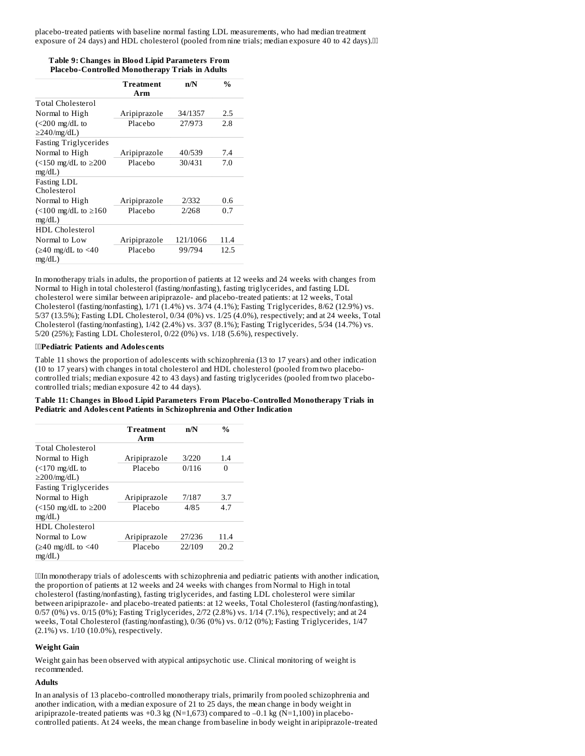placebo-treated patients with baseline normal fasting LDL measurements, who had median treatment exposure of 24 days) and HDL cholesterol (pooled from nine trials; median exposure 40 to 42 days).

| <b>Table 9: Changes in Blood Lipid Parameters From</b> |  |
|--------------------------------------------------------|--|
| <b>Placebo-Controlled Monotherapy Trials in Adults</b> |  |

|                                      | Treatment<br>Arm | n/N      | $\frac{0}{0}$ |
|--------------------------------------|------------------|----------|---------------|
| Total Cholesterol                    |                  |          |               |
| Normal to High                       | Aripiprazole     | 34/1357  | 2.5           |
| $(<200$ mg/dL to                     | Placebo          | 27/973   | 2.8           |
| $\geq$ 240/mg/dL)                    |                  |          |               |
| <b>Fasting Triglycerides</b>         |                  |          |               |
| Normal to High                       | Aripiprazole     | 40/539   | 7.4           |
| $\left($ <150 mg/dL to $\geq$ 200    | Placebo          | 30/431   | 7.0           |
| mg/dL)                               |                  |          |               |
| Fasting LDL                          |                  |          |               |
| Cholesterol                          |                  |          |               |
| Normal to High                       | Aripiprazole     | 2/332    | 0.6           |
| $\left($ <100 mg/dL to $\geq$ 160    | Placebo          | 2/268    | 0.7           |
| mg/dL)                               |                  |          |               |
| HDL Cholesterol                      |                  |          |               |
| Normal to Low                        | Aripiprazole     | 121/1066 | 11.4          |
| $(\geq 40 \text{ mg/dL to } \leq 40$ | Placebo          | 99/794   | 12.5          |
| mg/dL                                |                  |          |               |

In monotherapy trials in adults, the proportion of patients at 12 weeks and 24 weeks with changes from Normal to High in total cholesterol (fasting/nonfasting), fasting triglycerides, and fasting LDL cholesterol were similar between aripiprazole- and placebo-treated patients: at 12 weeks, Total Cholesterol (fasting/nonfasting), 1/71 (1.4%) vs. 3/74 (4.1%); Fasting Triglycerides, 8/62 (12.9%) vs. 5/37 (13.5%); Fasting LDL Cholesterol, 0/34 (0%) vs. 1/25 (4.0%), respectively; and at 24 weeks, Total Cholesterol (fasting/nonfasting), 1/42 (2.4%) vs. 3/37 (8.1%); Fasting Triglycerides, 5/34 (14.7%) vs. 5/20 (25%); Fasting LDL Cholesterol, 0/22 (0%) vs. 1/18 (5.6%), respectively.

#### **Pediatric Patients and Adoles cents**

Table 11 shows the proportion of adolescents with schizophrenia (13 to 17 years) and other indication (10 to 17 years) with changes in total cholesterol and HDL cholesterol (pooled from two placebocontrolled trials; median exposure 42 to 43 days) and fasting triglycerides (pooled from two placebocontrolled trials; median exposure 42 to 44 days).

#### **Table 11: Changes in Blood Lipid Parameters From Placebo-Controlled Monotherapy Trials in Pediatric and Adoles cent Patients in Schizophrenia and Other Indication**

|                                   | <b>Treatment</b> | n/N    | $\frac{0}{0}$ |
|-----------------------------------|------------------|--------|---------------|
|                                   | Arm              |        |               |
| <b>Total Cholesterol</b>          |                  |        |               |
| Normal to High                    | Aripiprazole     | 3/220  | 1.4           |
| $(<170 \text{ mg/dL to})$         | Placebo          | 0/116  | 0             |
| $\geq$ 200/mg/dL)                 |                  |        |               |
| <b>Fasting Triglycerides</b>      |                  |        |               |
| Normal to High                    | Aripiprazole     | 7/187  | 3.7           |
| $\left($ <150 mg/dL to $\geq$ 200 | Placebo          | 4/85   | 4.7           |
| mg/dL)                            |                  |        |               |
| HDL Cholesterol                   |                  |        |               |
| Normal to Low                     | Aripiprazole     | 27/236 | 11.4          |
| $(\geq 40 \text{ mg/dL to } 40$   | Placebo          | 22/109 | 20.2          |
| mg/dL)                            |                  |        |               |

In monotherapy trials of adolescents with schizophrenia and pediatric patients with another indication, the proportion of patients at 12 weeks and 24 weeks with changes from Normal to High in total cholesterol (fasting/nonfasting), fasting triglycerides, and fasting LDL cholesterol were similar between aripiprazole- and placebo-treated patients: at 12 weeks, Total Cholesterol (fasting/nonfasting), 0/57 (0%) vs. 0/15 (0%); Fasting Triglycerides, 2/72 (2.8%) vs. 1/14 (7.1%), respectively; and at 24 weeks, Total Cholesterol (fasting/nonfasting), 0/36 (0%) vs. 0/12 (0%); Fasting Triglycerides, 1/47 (2.1%) vs. 1/10 (10.0%), respectively.

#### **Weight Gain**

Weight gain has been observed with atypical antipsychotic use. Clinical monitoring of weight is recommended.

### **Adults**

In an analysis of 13 placebo-controlled monotherapy trials, primarily from pooled schizophrenia and another indication, with a median exposure of 21 to 25 days, the mean change in body weight in aripiprazole-treated patients was +0.3 kg (N=1,673) compared to -0.1 kg (N=1,100) in placebocontrolled patients. At 24 weeks, the mean change from baseline in body weight in aripiprazole-treated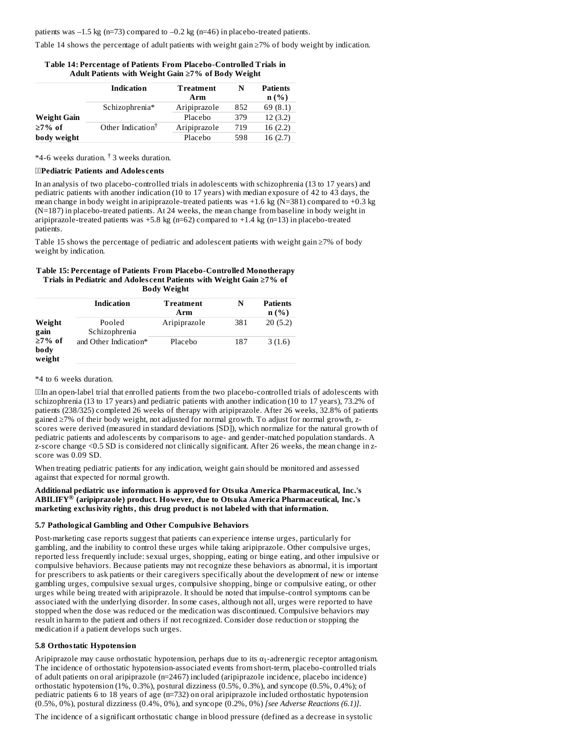Table 14 shows the percentage of adult patients with weight gain ≥7% of body weight by indication.

| Table 14: Percentage of Patients From Placebo-Controlled Trials in |
|--------------------------------------------------------------------|
| Adult Patients with Weight Gain ≥7% of Body Weight                 |

|                    | <b>Indication</b>             | <b>Treatment</b><br>Arm | N   | <b>Patients</b><br>n (%) |
|--------------------|-------------------------------|-------------------------|-----|--------------------------|
|                    | Schizophrenia*                | Aripiprazole            | 852 | 69(8.1)                  |
| <b>Weight Gain</b> |                               | Placebo                 | 379 | 12(3.2)                  |
| $\geq$ 7% of       | Other Indication $\mathsf{T}$ | Aripiprazole            | 719 | 16(2.2)                  |
| body weight        |                               | Placebo                 | 598 | 16(2.7)                  |

 $*$ 4-6 weeks duration.  $\dagger$  3 weeks duration.

#### **Pediatric Patients and Adoles cents**

In an analysis of two placebo-controlled trials in adolescents with schizophrenia (13 to 17 years) and pediatric patients with another indication (10 to 17 years) with median exposure of 42 to 43 days, the mean change in body weight in aripiprazole-treated patients was  $+1.6$  kg (N=381) compared to  $+0.3$  kg (N=187) in placebo-treated patients. At 24 weeks, the mean change from baseline in body weight in aripiprazole-treated patients was +5.8 kg (n=62) compared to +1.4 kg (n=13) in placebo-treated patients.

Table 15 shows the percentage of pediatric and adolescent patients with weight gain ≥7% of body weight by indication.

#### **Table 15: Percentage of Patients From Placebo-Controlled Monotherapy Trials in Pediatric and Adoles cent Patients with Weight Gain ≥7% of Body Weight**

|                                | <b>Indication</b>       | <b>Treatment</b><br>Arm | N   | <b>Patients</b><br>$n(\%)$ |
|--------------------------------|-------------------------|-------------------------|-----|----------------------------|
| Weight<br>gain                 | Pooled<br>Schizophrenia | Aripiprazole            | 381 | 20(5.2)                    |
| $\geq$ 7% of<br>body<br>weight | and Other Indication*   | Placebo                 | 187 | 3(1.6)                     |

#### \*4 to 6 weeks duration.

In an open-label trial that enrolled patients from the two placebo-controlled trials of adolescents with schizophrenia (13 to 17 years) and pediatric patients with another indication (10 to 17 years), 73.2% of patients (238/325) completed 26 weeks of therapy with aripiprazole. After 26 weeks, 32.8% of patients gained ≥7% of their body weight, not adjusted for normal growth. To adjust for normal growth, zscores were derived (measured in standard deviations [SD]), which normalize for the natural growth of pediatric patients and adolescents by comparisons to age- and gender-matched population standards. A z-score change <0.5 SD is considered not clinically significant. After 26 weeks, the mean change in zscore was 0.09 SD.

When treating pediatric patients for any indication, weight gain should be monitored and assessed against that expected for normal growth.

**Additional pediatric us e information is approved for Otsuka America Pharmaceutical, Inc.'s ABILIFY (aripiprazole) product. However, due to Otsuka America Pharmaceutical, Inc.'s ® marketing exclusivity rights, this drug product is not labeled with that information.**

### **5.7 Pathological Gambling and Other Compulsive Behaviors**

Post-marketing case reports suggest that patients can experience intense urges, particularly for gambling, and the inability to control these urges while taking aripiprazole. Other compulsive urges, reported less frequently include: sexual urges, shopping, eating or binge eating, and other impulsive or compulsive behaviors. Because patients may not recognize these behaviors as abnormal, it is important for prescribers to ask patients or their caregivers specifically about the development of new or intense gambling urges, compulsive sexual urges, compulsive shopping, binge or compulsive eating, or other urges while being treated with aripiprazole. It should be noted that impulse-control symptoms can be associated with the underlying disorder. In some cases, although not all, urges were reported to have stopped when the dose was reduced or the medication was discontinued. Compulsive behaviors may result in harm to the patient and others if not recognized. Consider dose reduction or stopping the medication if a patient develops such urges.

### **5.8 Orthostatic Hypotension**

Aripiprazole may cause orthostatic hypotension, perhaps due to its  $\alpha_1$ -adrenergic receptor antagonism. The incidence of orthostatic hypotension-associated events from short-term, placebo-controlled trials of adult patients on oral aripiprazole (n=2467) included (aripiprazole incidence, placebo incidence) orthostatic hypotension (1%, 0.3%), postural dizziness (0.5%, 0.3%), and syncope (0.5%, 0.4%); of pediatric patients 6 to 18 years of age (n=732) on oral aripiprazole included orthostatic hypotension (0.5%, 0%), postural dizziness (0.4%, 0%), and syncope (0.2%, 0%) *[see Adverse Reactions (6.1)]*.

The incidence of a significant orthostatic change in blood pressure (defined as a decrease in systolic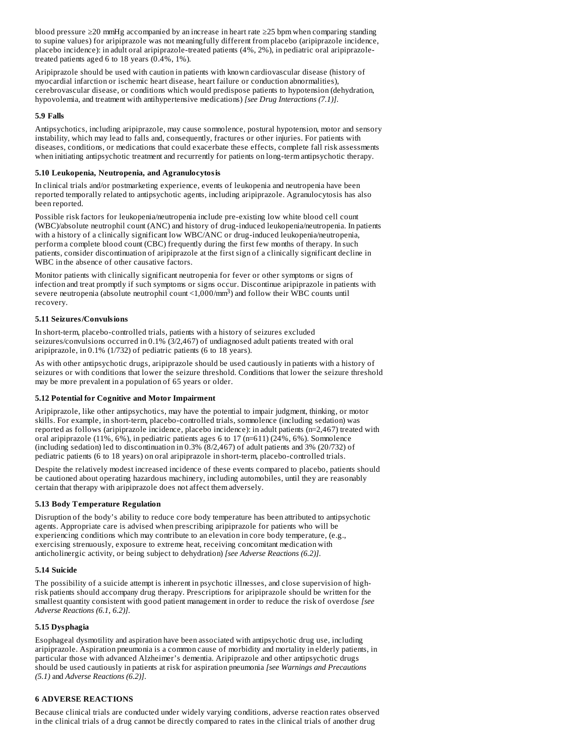blood pressure ≥20 mmHg accompanied by an increase in heart rate ≥25 bpm when comparing standing to supine values) for aripiprazole was not meaningfully different from placebo (aripiprazole incidence, placebo incidence): in adult oral aripiprazole-treated patients (4%, 2%), in pediatric oral aripiprazoletreated patients aged 6 to 18 years (0.4%, 1%).

Aripiprazole should be used with caution in patients with known cardiovascular disease (history of myocardial infarction or ischemic heart disease, heart failure or conduction abnormalities), cerebrovascular disease, or conditions which would predispose patients to hypotension (dehydration, hypovolemia, and treatment with antihypertensive medications) *[see Drug Interactions (7.1)]*.

### **5.9 Falls**

Antipsychotics, including aripiprazole, may cause somnolence, postural hypotension, motor and sensory instability, which may lead to falls and, consequently, fractures or other injuries. For patients with diseases, conditions, or medications that could exacerbate these effects, complete fall risk assessments when initiating antipsychotic treatment and recurrently for patients on long-term antipsychotic therapy.

### **5.10 Leukopenia, Neutropenia, and Agranulocytosis**

In clinical trials and/or postmarketing experience, events of leukopenia and neutropenia have been reported temporally related to antipsychotic agents, including aripiprazole. Agranulocytosis has also been reported.

Possible risk factors for leukopenia/neutropenia include pre-existing low white blood cell count (WBC)/absolute neutrophil count (ANC) and history of drug-induced leukopenia/neutropenia. In patients with a history of a clinically significant low WBC/ANC or drug-induced leukopenia/neutropenia, perform a complete blood count (CBC) frequently during the first few months of therapy. In such patients, consider discontinuation of aripiprazole at the first sign of a clinically significant decline in WBC in the absence of other causative factors.

Monitor patients with clinically significant neutropenia for fever or other symptoms or signs of infection and treat promptly if such symptoms or signs occur. Discontinue aripiprazole in patients with severe neutropenia (absolute neutrophil count <1,000/mm<sup>3</sup>) and follow their WBC counts until recovery.

### **5.11 Seizures/Convulsions**

In short-term, placebo-controlled trials, patients with a history of seizures excluded seizures/convulsions occurred in 0.1% (3/2,467) of undiagnosed adult patients treated with oral aripiprazole, in 0.1% (1/732) of pediatric patients (6 to 18 years).

As with other antipsychotic drugs, aripiprazole should be used cautiously in patients with a history of seizures or with conditions that lower the seizure threshold. Conditions that lower the seizure threshold may be more prevalent in a population of 65 years or older.

### **5.12 Potential for Cognitive and Motor Impairment**

Aripiprazole, like other antipsychotics, may have the potential to impair judgment, thinking, or motor skills. For example, in short-term, placebo-controlled trials, somnolence (including sedation) was reported as follows (aripiprazole incidence, placebo incidence): in adult patients (n=2,467) treated with oral aripiprazole  $(11\%, 6\%)$ , in pediatric patients ages 6 to 17 (n=611)  $(24\%, 6\%)$ . Somnolence (including sedation) led to discontinuation in 0.3% (8/2,467) of adult patients and 3% (20/732) of pediatric patients (6 to 18 years) on oral aripiprazole in short-term, placebo-controlled trials.

Despite the relatively modest increased incidence of these events compared to placebo, patients should be cautioned about operating hazardous machinery, including automobiles, until they are reasonably certain that therapy with aripiprazole does not affect them adversely.

### **5.13 Body Temperature Regulation**

Disruption of the body's ability to reduce core body temperature has been attributed to antipsychotic agents. Appropriate care is advised when prescribing aripiprazole for patients who will be experiencing conditions which may contribute to an elevation in core body temperature, (e.g., exercising strenuously, exposure to extreme heat, receiving concomitant medication with anticholinergic activity, or being subject to dehydration) *[see Adverse Reactions (6.2)]*.

#### **5.14 Suicide**

The possibility of a suicide attempt is inherent in psychotic illnesses, and close supervision of highrisk patients should accompany drug therapy. Prescriptions for aripiprazole should be written for the smallest quantity consistent with good patient management in order to reduce the risk of overdose *[see Adverse Reactions (6.1, 6.2)]*.

### **5.15 Dysphagia**

Esophageal dysmotility and aspiration have been associated with antipsychotic drug use, including aripiprazole. Aspiration pneumonia is a common cause of morbidity and mortality in elderly patients, in particular those with advanced Alzheimer's dementia. Aripiprazole and other antipsychotic drugs should be used cautiously in patients at risk for aspiration pneumonia *[see Warnings and Precautions (5.1)* and *Adverse Reactions (6.2)]*.

### **6 ADVERSE REACTIONS**

Because clinical trials are conducted under widely varying conditions, adverse reaction rates observed in the clinical trials of a drug cannot be directly compared to rates in the clinical trials of another drug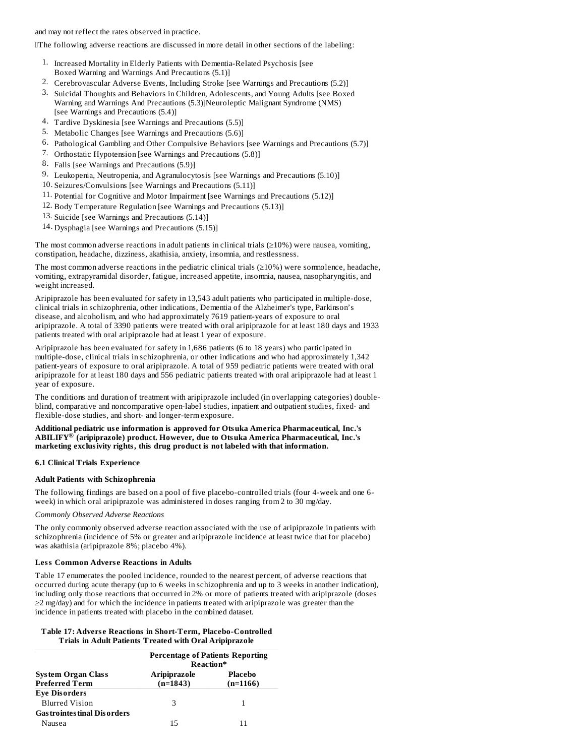and may not reflect the rates observed in practice.

The following adverse reactions are discussed in more detail in other sections of the labeling:

- 1. Increased Mortality in Elderly Patients with Dementia-Related Psychosis [see Boxed Warning and Warnings And Precautions (5.1)]
- 2. Cerebrovascular Adverse Events, Including Stroke [see Warnings and Precautions (5.2)]
- 3. Suicidal Thoughts and Behaviors in Children, Adolescents, and Young Adults [see Boxed Warning and Warnings And Precautions (5.3)]Neuroleptic Malignant Syndrome (NMS) [see Warnings and Precautions (5.4)]
- 4. Tardive Dyskinesia [see Warnings and Precautions (5.5)]
- 5. Metabolic Changes [see Warnings and Precautions (5.6)]
- 6. Pathological Gambling and Other Compulsive Behaviors [see Warnings and Precautions (5.7)]
- 7. Orthostatic Hypotension [see Warnings and Precautions (5.8)]
- 8. Falls [see Warnings and Precautions (5.9)]
- 9. Leukopenia, Neutropenia, and Agranulocytosis [see Warnings and Precautions (5.10)]
- 10. Seizures/Convulsions [see Warnings and Precautions (5.11)]
- 11. Potential for Cognitive and Motor Impairment [see Warnings and Precautions (5.12)]
- 12. Body Temperature Regulation [see Warnings and Precautions (5.13)]
- 13. Suicide [see Warnings and Precautions (5.14)]
- 14. Dysphagia [see Warnings and Precautions (5.15)]

The most common adverse reactions in adult patients in clinical trials  $(\geq 10\%)$  were nausea, vomiting, constipation, headache, dizziness, akathisia, anxiety, insomnia, and restlessness.

The most common adverse reactions in the pediatric clinical trials  $(\geq 10\%)$  were somnolence, headache, vomiting, extrapyramidal disorder, fatigue, increased appetite, insomnia, nausea, nasopharyngitis, and weight increased.

Aripiprazole has been evaluated for safety in 13,543 adult patients who participated in multiple-dose, clinical trials in schizophrenia, other indications, Dementia of the Alzheimer's type, Parkinson's disease, and alcoholism, and who had approximately 7619 patient-years of exposure to oral aripiprazole. A total of 3390 patients were treated with oral aripiprazole for at least 180 days and 1933 patients treated with oral aripiprazole had at least 1 year of exposure.

Aripiprazole has been evaluated for safety in 1,686 patients (6 to 18 years) who participated in multiple-dose, clinical trials in schizophrenia, or other indications and who had approximately 1,342 patient-years of exposure to oral aripiprazole. A total of 959 pediatric patients were treated with oral aripiprazole for at least 180 days and 556 pediatric patients treated with oral aripiprazole had at least 1 year of exposure.

The conditions and duration of treatment with aripiprazole included (in overlapping categories) doubleblind, comparative and noncomparative open-label studies, inpatient and outpatient studies, fixed- and flexible-dose studies, and short- and longer-term exposure.

**Additional pediatric us e information is approved for Otsuka America Pharmaceutical, Inc.'s ABILIFY (aripiprazole) product. However, due to Otsuka America Pharmaceutical, Inc.'s ®marketing exclusivity rights, this drug product is not labeled with that information.**

#### **6.1 Clinical Trials Experience**

#### **Adult Patients with Schizophrenia**

The following findings are based on a pool of five placebo-controlled trials (four 4-week and one 6 week) in which oral aripiprazole was administered in doses ranging from 2 to 30 mg/day.

#### *Commonly Observed Adverse Reactions*

The only commonly observed adverse reaction associated with the use of aripiprazole in patients with schizophrenia (incidence of 5% or greater and aripiprazole incidence at least twice that for placebo) was akathisia (aripiprazole 8%; placebo 4%).

#### **Less Common Advers e Reactions in Adults**

Table 17 enumerates the pooled incidence, rounded to the nearest percent, of adverse reactions that occurred during acute therapy (up to 6 weeks in schizophrenia and up to 3 weeks in another indication), including only those reactions that occurred in 2% or more of patients treated with aripiprazole (doses  $\geq$ 2 mg/day) and for which the incidence in patients treated with aripiprazole was greater than the incidence in patients treated with placebo in the combined dataset.

#### **Table 17: Advers e Reactions in Short-Term, Placebo-Controlled Trials in Adult Patients Treated with Oral Aripiprazole**

|                                                    | <b>Percentage of Patients Reporting</b><br>Reaction* |                       |  |  |  |
|----------------------------------------------------|------------------------------------------------------|-----------------------|--|--|--|
| <b>System Organ Class</b><br><b>Preferred Term</b> | Aripiprazole<br>$(n=1843)$                           | Placebo<br>$(n=1166)$ |  |  |  |
| <b>Eye Disorders</b>                               |                                                      |                       |  |  |  |
| <b>Blurred Vision</b>                              | З                                                    |                       |  |  |  |
| <b>Gastrointestinal Disorders</b>                  |                                                      |                       |  |  |  |
| Nausea                                             |                                                      |                       |  |  |  |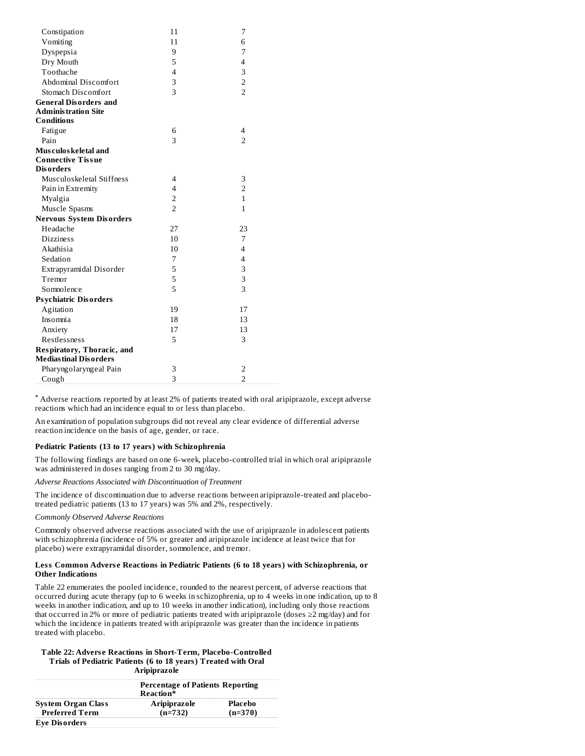| Constipation                      | 11             | 7                       |
|-----------------------------------|----------------|-------------------------|
| Vomiting                          | 11             | 6                       |
| Dyspepsia                         | 9              | 7                       |
| Dry Mouth                         | 5              | $\overline{\mathbf{4}}$ |
| Toothache                         | 4              | 3                       |
| Abdominal Discomfort              | 3              | 2                       |
| Stomach Discomfort                | 3              | $\overline{z}$          |
| <b>General Disorders and</b>      |                |                         |
| <b>Adminis tration Site</b>       |                |                         |
| <b>Conditions</b>                 |                |                         |
| Fatigue                           | 6              | 4                       |
| Pain                              | 3              | 2                       |
| Musculos keletal and              |                |                         |
| <b>Connective Tissue</b>          |                |                         |
| <b>Disorders</b>                  |                |                         |
| Musculoskeletal Stiffness         | 4              | 3                       |
| Pain in Extremity                 | 4              | 2                       |
| Myalgia                           | $\overline{2}$ | $\mathbf{1}$            |
| Muscle Spasms                     | $\overline{2}$ | 1                       |
| <b>Nervous System Disorders</b>   |                |                         |
| Headache                          | 27             | 23                      |
| <b>Dizziness</b>                  | 10             | 7                       |
| Akathisia                         | 10             | $\overline{4}$          |
| Sedation                          | 7              | $\overline{4}$          |
| Extrapyramidal Disorder           | 5              | 3                       |
| Tremor                            | 5              | 3                       |
| Somnolence                        | 5              | 3                       |
| <b>Psychiatric Disorders</b>      |                |                         |
| Agitation                         | 19             | 17                      |
| Insomnia                          | 18             | 13                      |
| Anxiety                           | 17             | 13                      |
| <b>Restlessness</b>               | 5              | 3                       |
| <b>Respiratory, Thoracic, and</b> |                |                         |
| <b>Mediastinal Disorders</b>      |                |                         |
| Pharyngolaryngeal Pain            | 3              | 2                       |
| Cough                             | 3              | $\overline{2}$          |

Adverse reactions reported by at least 2% of patients treated with oral aripiprazole, except adverse \*reactions which had an incidence equal to or less than placebo.

An examination of population subgroups did not reveal any clear evidence of differential adverse reaction incidence on the basis of age, gender, or race.

### **Pediatric Patients (13 to 17 years) with Schizophrenia**

The following findings are based on one 6-week, placebo-controlled trial in which oral aripiprazole was administered in doses ranging from 2 to 30 mg/day.

*Adverse Reactions Associated with Discontinuation of Treatment*

The incidence of discontinuation due to adverse reactions between aripiprazole-treated and placebotreated pediatric patients (13 to 17 years) was 5% and 2%, respectively.

*Commonly Observed Adverse Reactions*

Commonly observed adverse reactions associated with the use of aripiprazole in adolescent patients with schizophrenia (incidence of 5% or greater and aripiprazole incidence at least twice that for placebo) were extrapyramidal disorder, somnolence, and tremor.

#### **Less Common Advers e Reactions in Pediatric Patients (6 to 18 years) with Schizophrenia, or Other Indications**

Table 22 enumerates the pooled incidence, rounded to the nearest percent, of adverse reactions that occurred during acute therapy (up to 6 weeks in schizophrenia, up to 4 weeks in one indication, up to 8 weeks in another indication, and up to 10 weeks in another indication), including only those reactions that occurred in 2% or more of pediatric patients treated with aripiprazole (doses ≥2 mg/day) and for which the incidence in patients treated with aripiprazole was greater than the incidence in patients treated with placebo.

#### **Table 22: Advers e Reactions in Short-Term, Placebo-Controlled Trials of Pediatric Patients (6 to 18 years) Treated with Oral Aripiprazole**

| <b>Percentage of Patients Reporting</b> |           |  |  |
|-----------------------------------------|-----------|--|--|
| Reaction*                               |           |  |  |
| Aripiprazole                            | Placebo   |  |  |
| $(n=732)$                               | $(n=370)$ |  |  |
|                                         |           |  |  |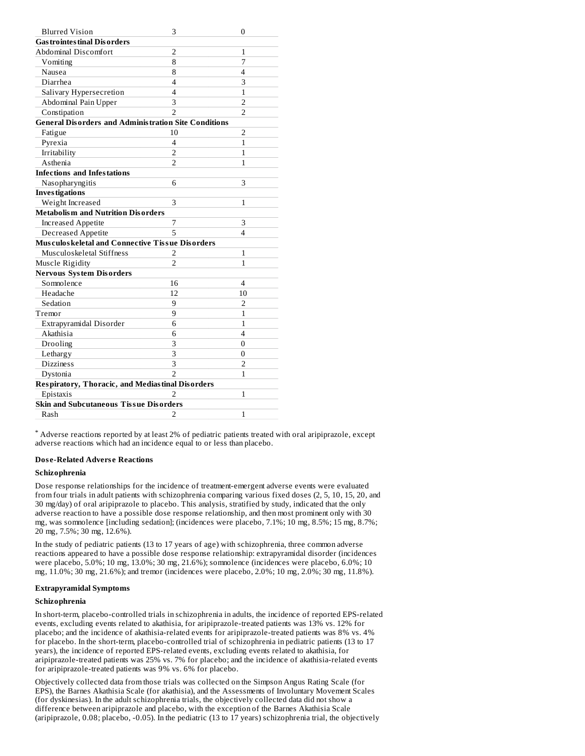| <b>Blurred Vision</b>                                       | 3              | 0        |
|-------------------------------------------------------------|----------------|----------|
| <b>Gas trointes tinal Disorders</b>                         |                |          |
| Abdominal Discomfort                                        | $\overline{2}$ | 1        |
| Vomiting                                                    | 8              | 7        |
| Nausea                                                      | 8              | 4        |
| Diarrhea                                                    | 4              | 3        |
| Salivary Hypersecretion                                     | 4              | 1        |
| Abdominal Pain Upper                                        | 3              | 2        |
| Constipation                                                | フ              | 2        |
| <b>General Disorders and Administration Site Conditions</b> |                |          |
| Fatigue                                                     | 10             | 2        |
| Pyrexia                                                     | 4              | 1        |
| Irritability                                                | 2              | 1        |
| Asthenia                                                    | 2              | 1        |
| <b>Infections and Infestations</b>                          |                |          |
| Nasopharyngitis                                             | 6              | 3        |
| <b>Investigations</b>                                       |                |          |
| Weight Increased                                            | 3              | 1        |
| <b>Metabolism and Nutrition Disorders</b>                   |                |          |
| <b>Increased Appetite</b>                                   | 7              | 3        |
| Decreased Appetite                                          | 5              | 4        |
| <b>Musculoskeletal and Connective Tissue Disorders</b>      |                |          |
| Musculoskeletal Stiffness                                   | 2              | 1        |
| Muscle Rigidity                                             | 2              | 1        |
| <b>Nervous System Disorders</b>                             |                |          |
| Somnolence                                                  | 16             | 4        |
| Headache                                                    | 12             | 10       |
| Sedation                                                    | 9              | 2        |
| Tremor                                                      | 9              | 1        |
| Extrapyramidal Disorder                                     | 6              | 1        |
| Akathisia                                                   | 6              | 4        |
| Drooling                                                    | 3              | $\theta$ |
| Lethargy                                                    | 3              | $\theta$ |
| <b>Dizziness</b>                                            | 3              | 2        |
| Dystonia                                                    | 2              | 1        |
| <b>Respiratory, Thoracic, and Mediastinal Disorders</b>     |                |          |
| Epistaxis                                                   |                | 1        |
| <b>Skin and Subcutaneous Tissue Disorders</b>               |                |          |
| Rash                                                        | 2              | 1        |

Adverse reactions reported by at least 2% of pediatric patients treated with oral aripiprazole, except \*adverse reactions which had an incidence equal to or less than placebo.

# **Dos e-Related Advers e Reactions**

#### **Schizophrenia**

Dose response relationships for the incidence of treatment-emergent adverse events were evaluated from four trials in adult patients with schizophrenia comparing various fixed doses (2, 5, 10, 15, 20, and 30 mg/day) of oral aripiprazole to placebo. This analysis, stratified by study, indicated that the only adverse reaction to have a possible dose response relationship, and then most prominent only with 30 mg, was somnolence [including sedation]; (incidences were placebo, 7.1%; 10 mg, 8.5%; 15 mg, 8.7%; 20 mg, 7.5%; 30 mg, 12.6%).

In the study of pediatric patients (13 to 17 years of age) with schizophrenia, three common adverse reactions appeared to have a possible dose response relationship: extrapyramidal disorder (incidences were placebo, 5.0%; 10 mg, 13.0%; 30 mg, 21.6%); somnolence (incidences were placebo, 6.0%; 10 mg, 11.0%; 30 mg, 21.6%); and tremor (incidences were placebo, 2.0%; 10 mg, 2.0%; 30 mg, 11.8%).

### **Extrapyramidal Symptoms**

#### **Schizophrenia**

In short-term, placebo-controlled trials in schizophrenia in adults, the incidence of reported EPS-related events, excluding events related to akathisia, for aripiprazole-treated patients was 13% vs. 12% for placebo; and the incidence of akathisia-related events for aripiprazole-treated patients was 8% vs. 4% for placebo. In the short-term, placebo-controlled trial of schizophrenia in pediatric patients (13 to 17 years), the incidence of reported EPS-related events, excluding events related to akathisia, for aripiprazole-treated patients was 25% vs. 7% for placebo; and the incidence of akathisia-related events for aripiprazole-treated patients was 9% vs. 6% for placebo.

Objectively collected data from those trials was collected on the Simpson Angus Rating Scale (for EPS), the Barnes Akathisia Scale (for akathisia), and the Assessments of Involuntary Movement Scales (for dyskinesias). In the adult schizophrenia trials, the objectively collected data did not show a difference between aripiprazole and placebo, with the exception of the Barnes Akathisia Scale (aripiprazole, 0.08; placebo, -0.05). In the pediatric (13 to 17 years) schizophrenia trial, the objectively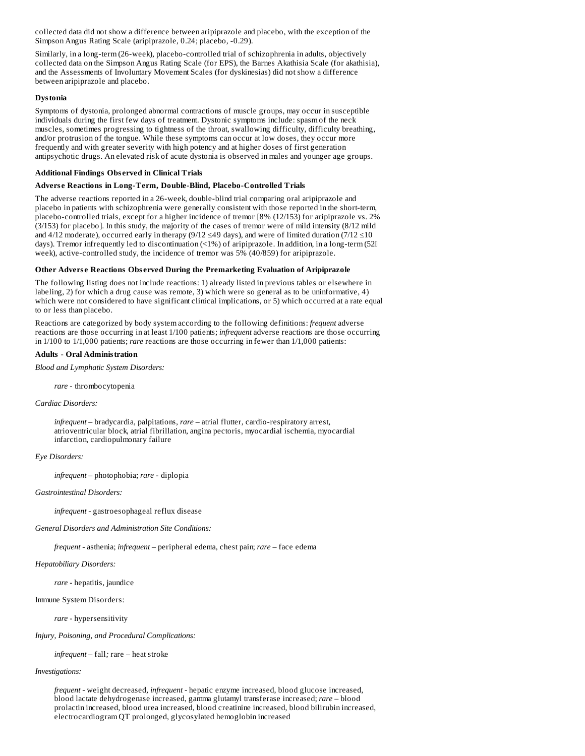collected data did not show a difference between aripiprazole and placebo, with the exception of the Simpson Angus Rating Scale (aripiprazole, 0.24; placebo, -0.29).

Similarly, in a long-term (26-week), placebo-controlled trial of schizophrenia in adults, objectively collected data on the Simpson Angus Rating Scale (for EPS), the Barnes Akathisia Scale (for akathisia), and the Assessments of Involuntary Movement Scales (for dyskinesias) did not show a difference between aripiprazole and placebo.

#### **Dystonia**

Symptoms of dystonia, prolonged abnormal contractions of muscle groups, may occur in susceptible individuals during the first few days of treatment. Dystonic symptoms include: spasm of the neck muscles, sometimes progressing to tightness of the throat, swallowing difficulty, difficulty breathing, and/or protrusion of the tongue. While these symptoms can occur at low doses, they occur more frequently and with greater severity with high potency and at higher doses of first generation antipsychotic drugs. An elevated risk of acute dystonia is observed in males and younger age groups.

### **Additional Findings Obs erved in Clinical Trials**

#### **Advers e Reactions in Long-Term, Double-Blind, Placebo-Controlled Trials**

The adverse reactions reported in a 26-week, double-blind trial comparing oral aripiprazole and placebo in patients with schizophrenia were generally consistent with those reported in the short-term, placebo-controlled trials, except for a higher incidence of tremor [8% (12/153) for aripiprazole vs. 2% (3/153) for placebo]. In this study, the majority of the cases of tremor were of mild intensity (8/12 mild and 4/12 moderate), occurred early in therapy (9/12 ≤49 days), and were of limited duration (7/12 ≤10 days). Tremor infrequently led to discontinuation (<1%) of aripiprazole. In addition, in a long-term (520) week), active-controlled study, the incidence of tremor was 5% (40/859) for aripiprazole.

#### **Other Advers e Reactions Obs erved During the Premarketing Evaluation of Aripiprazole**

The following listing does not include reactions: 1) already listed in previous tables or elsewhere in labeling, 2) for which a drug cause was remote, 3) which were so general as to be uninformative, 4) which were not considered to have significant clinical implications, or 5) which occurred at a rate equal to or less than placebo.

Reactions are categorized by body system according to the following definitions: *frequent* adverse reactions are those occurring in at least 1/100 patients; *infrequent* adverse reactions are those occurring in 1/100 to 1/1,000 patients; *rare* reactions are those occurring in fewer than 1/1,000 patients:

#### **Adults - Oral Administration**

*Blood and Lymphatic System Disorders:*

*rare* - thrombocytopenia

*Cardiac Disorders:*

*infrequent* – bradycardia, palpitations, *rare* – atrial flutter, cardio-respiratory arrest, atrioventricular block, atrial fibrillation, angina pectoris, myocardial ischemia, myocardial infarction, cardiopulmonary failure

*Eye Disorders:*

*infrequent* – photophobia; *rare* - diplopia

*Gastrointestinal Disorders:*

*infrequent -* gastroesophageal reflux disease

*General Disorders and Administration Site Conditions:*

*frequent -* asthenia; *infrequent –* peripheral edema, chest pain; *rare –* face edema

*Hepatobiliary Disorders:*

*rare -* hepatitis, jaundice

Immune System Disorders:

*rare -* hypersensitivity

*Injury, Poisoning, and Procedural Complications:*

*infrequent –* fall*;* rare *–* heat stroke

*Investigations:*

*frequent -* weight decreased*, infrequent -* hepatic enzyme increased, blood glucose increased, blood lactate dehydrogenase increased, gamma glutamyl transferase increased; *rare –* blood prolactin increased, blood urea increased, blood creatinine increased, blood bilirubin increased, electrocardiogram QT prolonged, glycosylated hemoglobin increased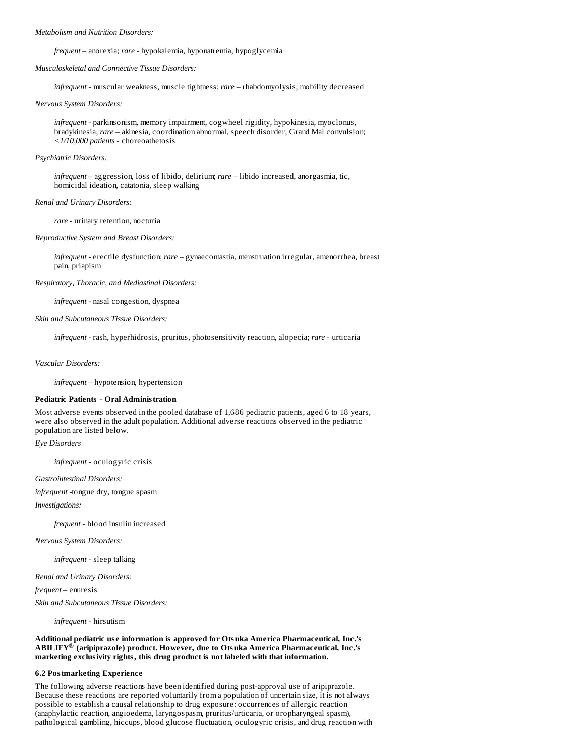*Metabolism and Nutrition Disorders:*

*frequent* – anorexia; *rare -* hypokalemia, hyponatremia, hypoglycemia

*Musculoskeletal and Connective Tissue Disorders:*

*infrequent* - muscular weakness, muscle tightness; *rare* – rhabdomyolysis, mobility decreased

*Nervous System Disorders:*

*infrequent -* parkinsonism, memory impairment, cogwheel rigidity, hypokinesia, myoclonus, bradykinesia; *rare –* akinesia, coordination abnormal, speech disorder, Grand Mal convulsion; *<1/10,000 patients* - choreoathetosis

*Psychiatric Disorders:*

*infrequent –* aggression, loss of libido, delirium; *rare –* libido increased, anorgasmia, tic, homicidal ideation, catatonia, sleep walking

*Renal and Urinary Disorders:*

*rare -* urinary retention, nocturia

*Reproductive System and Breast Disorders:*

*infrequent -* erectile dysfunction; *rare –* gynaecomastia, menstruation irregular, amenorrhea, breast pain, priapism

*Respiratory, Thoracic, and Mediastinal Disorders:*

*infrequent -* nasal congestion, dyspnea

*Skin and Subcutaneous Tissue Disorders:*

*infrequent -* rash, hyperhidrosis, pruritus, photosensitivity reaction, alopecia; *rare* - urticaria

*Vascular Disorders:*

*infrequent –* hypotension, hypertension

#### **Pediatric Patients - Oral Administration**

Most adverse events observed in the pooled database of 1,686 pediatric patients, aged 6 to 18 years, were also observed in the adult population. Additional adverse reactions observed in the pediatric population are listed below.

*Eye Disorders*

*infrequent* - oculogyric crisis

*Gastrointestinal Disorders:*

*infrequent -*tongue dry, tongue spasm *Investigations:*

*frequent* - blood insulin increased

*Nervous System Disorders:*

*infrequent* - sleep talking

*Renal and Urinary Disorders:*

*frequent –* enuresis

*Skin and Subcutaneous Tissue Disorders:*

*infrequent* - hirsutism

#### **Additional pediatric us e information is approved for Otsuka America Pharmaceutical, Inc.'s ABILIFY (aripiprazole) product. However, due to Otsuka America Pharmaceutical, Inc.'s ®marketing exclusivity rights, this drug product is not labeled with that information.**

### **6.2 Postmarketing Experience**

The following adverse reactions have been identified during post-approval use of aripiprazole. Because these reactions are reported voluntarily from a population of uncertain size, it is not always possible to establish a causal relationship to drug exposure: occurrences of allergic reaction (anaphylactic reaction, angioedema, laryngospasm, pruritus/urticaria, or oropharyngeal spasm), pathological gambling, hiccups, blood glucose fluctuation, oculogyric crisis, and drug reaction with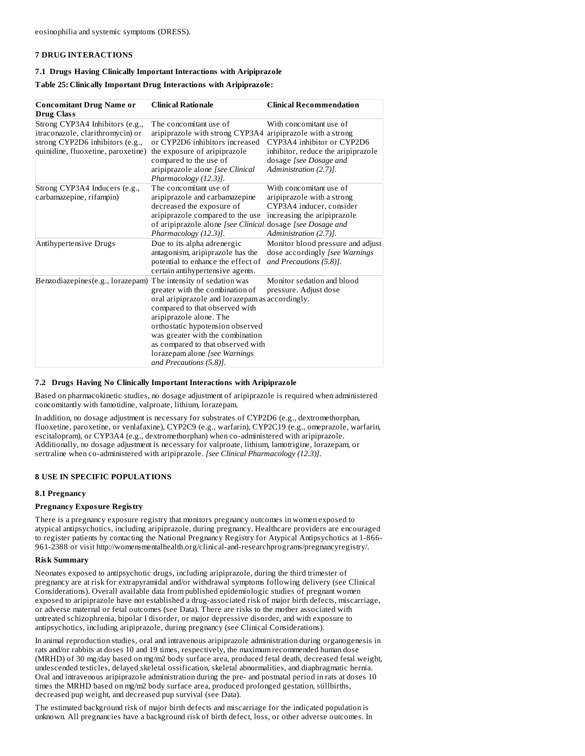### **7 DRUG INTERACTIONS**

# **7.1 Drugs Having Clinically Important Interactions with Aripiprazole Table 25: Clinically Important Drug Interactions with Aripiprazole:**

| <b>Concomitant Drug Name or</b><br><b>Drug Class</b>                                                                                         | <b>Clinical Rationale</b>                                                                                                                                                                                                                                                                                                                                 | <b>Clinical Recommendation</b>                                                                                                                  |
|----------------------------------------------------------------------------------------------------------------------------------------------|-----------------------------------------------------------------------------------------------------------------------------------------------------------------------------------------------------------------------------------------------------------------------------------------------------------------------------------------------------------|-------------------------------------------------------------------------------------------------------------------------------------------------|
| Strong CYP3A4 Inhibitors (e.g.,<br>itraconazole, clarithromycin) or<br>strong CYP2D6 inhibitors (e.g.,<br>quinidine, fluoxetine, paroxetine) | The concomitant use of<br>aripiprazole with strong CYP3A4 aripiprazole with a strong<br>or CYP2D6 inhibitors increased<br>the exposure of aripiprazole<br>compared to the use of<br>aripiprazole alone [see Clinical<br>Pharmacology (12.3)].                                                                                                             | With concomitant use of<br>CYP3A4 inhibitor or CYP2D6<br>inhibitor, reduce the aripiprazole<br>dosage [see Dosage and<br>Administration (2.7)]. |
| Strong CYP3A4 Inducers (e.g.,<br>carbamazepine, rifampin)                                                                                    | The concomitant use of<br>aripiprazole and carbamazepine<br>decreased the exposure of<br>aripiprazole compared to the use<br>of aripiprazole alone [see Clinical dosage [see Dosage and<br>Pharmacology (12.3)].                                                                                                                                          | With concomitant use of<br>aripiprazole with a strong<br>CYP3A4 inducer, consider<br>increasing the aripiprazole<br>Administration (2.7)].      |
| <b>Antihypertensive Drugs</b>                                                                                                                | Due to its alpha adrenergic<br>antagonism, aripiprazole has the<br>potential to enhance the effect of<br>certain antihypertensive agents.                                                                                                                                                                                                                 | Monitor blood pressure and adjust<br>dose accordingly [see Warnings<br>and Precautions (5.8)].                                                  |
| Benzodiazepines(e.g., lorazepam)                                                                                                             | The intensity of sedation was<br>greater with the combination of<br>oral aripiprazole and lorazepam as accordingly.<br>compared to that observed with<br>aripiprazole alone. The<br>orthostatic hypotension observed<br>was greater with the combination<br>as compared to that observed with<br>lorazepam alone [see Warnings<br>and Precautions (5.8)]. | Monitor sedation and blood<br>pressure. Adjust dose                                                                                             |

### **7.2 Drugs Having No Clinically Important Interactions with Aripiprazole**

Based on pharmacokinetic studies, no dosage adjustment of aripiprazole is required when administered concomitantly with famotidine, valproate, lithium, lorazepam.

In addition, no dosage adjustment is necessary for substrates of CYP2D6 (e.g., dextromethorphan, fluoxetine, paroxetine, or venlafaxine), CYP2C9 (e.g., warfarin), CYP2C19 (e.g., omeprazole, warfarin, escitalopram), or CYP3A4 (e.g., dextromethorphan) when co-administered with aripiprazole. Additionally, no dosage adjustment is necessary for valproate, lithium, lamotrigine, lorazepam, or sertraline when co-administered with aripiprazole. *[see Clinical Pharmacology (12.3)]*.

### **8 USE IN SPECIFIC POPULATIONS**

### **8.1 Pregnancy**

# **Pregnancy Exposure Registry**

There is a pregnancy exposure registry that monitors pregnancy outcomes in women exposed to atypical antipsychotics, including aripiprazole, during pregnancy. Healthcare providers are encouraged to register patients by contacting the National Pregnancy Registry for Atypical Antipsychotics at 1-866- 961-2388 or visit http://womensmentalhealth.org/clinical-and-researchprograms/pregnancyregistry/.

#### **Risk Summary**

Neonates exposed to antipsychotic drugs, including aripiprazole, during the third trimester of pregnancy are at risk for extrapyramidal and/or withdrawal symptoms following delivery (see Clinical Considerations). Overall available data from published epidemiologic studies of pregnant women exposed to aripiprazole have not established a drug-associated risk of major birth defects, miscarriage, or adverse maternal or fetal outcomes (see Data). There are risks to the mother associated with untreated schizophrenia, bipolar I disorder, or major depressive disorder, and with exposure to antipsychotics, including aripiprazole, during pregnancy (see Clinical Considerations).

In animal reproduction studies, oral and intravenous aripiprazole administration during organogenesis in rats and/or rabbits at doses 10 and 19 times, respectively, the maximum recommended human dose (MRHD) of 30 mg/day based on mg/m2 body surface area, produced fetal death, decreased fetal weight, undescended testicles, delayed skeletal ossification, skeletal abnormalities, and diaphragmatic hernia. Oral and intravenous aripiprazole administration during the pre- and postnatal period in rats at doses 10 times the MRHD based on mg/m2 body surface area, produced prolonged gestation, stillbirths, decreased pup weight, and decreased pup survival (see Data).

The estimated background risk of major birth defects and miscarriage for the indicated population is unknown. All pregnancies have a background risk of birth defect, loss, or other adverse outcomes. In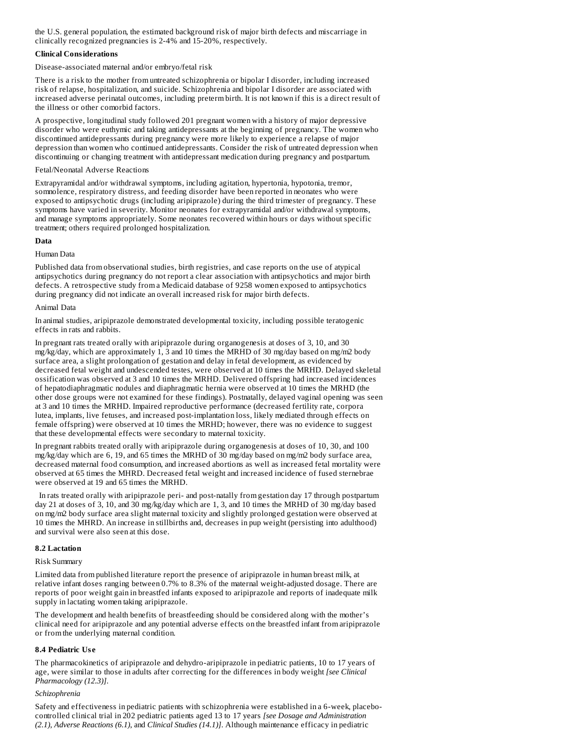the U.S. general population, the estimated background risk of major birth defects and miscarriage in clinically recognized pregnancies is 2-4% and 15-20%, respectively.

### **Clinical Considerations**

Disease-associated maternal and/or embryo/fetal risk

There is a risk to the mother from untreated schizophrenia or bipolar I disorder, including increased risk of relapse, hospitalization, and suicide. Schizophrenia and bipolar I disorder are associated with increased adverse perinatal outcomes, including preterm birth. It is not known if this is a direct result of the illness or other comorbid factors.

A prospective, longitudinal study followed 201 pregnant women with a history of major depressive disorder who were euthymic and taking antidepressants at the beginning of pregnancy. The women who discontinued antidepressants during pregnancy were more likely to experience a relapse of major depression than women who continued antidepressants. Consider the risk of untreated depression when discontinuing or changing treatment with antidepressant medication during pregnancy and postpartum.

#### Fetal/Neonatal Adverse Reactions

Extrapyramidal and/or withdrawal symptoms, including agitation, hypertonia, hypotonia, tremor, somnolence, respiratory distress, and feeding disorder have been reported in neonates who were exposed to antipsychotic drugs (including aripiprazole) during the third trimester of pregnancy. These symptoms have varied in severity. Monitor neonates for extrapyramidal and/or withdrawal symptoms, and manage symptoms appropriately. Some neonates recovered within hours or days without specific treatment; others required prolonged hospitalization.

#### **Data**

#### Human Data

Published data from observational studies, birth registries, and case reports on the use of atypical antipsychotics during pregnancy do not report a clear association with antipsychotics and major birth defects. A retrospective study from a Medicaid database of 9258 women exposed to antipsychotics during pregnancy did not indicate an overall increased risk for major birth defects.

#### Animal Data

In animal studies, aripiprazole demonstrated developmental toxicity, including possible teratogenic effects in rats and rabbits.

In pregnant rats treated orally with aripiprazole during organogenesis at doses of 3, 10, and 30 mg/kg/day, which are approximately 1, 3 and 10 times the MRHD of 30 mg/day based on mg/m2 body surface area, a slight prolongation of gestation and delay in fetal development, as evidenced by decreased fetal weight and undescended testes, were observed at 10 times the MRHD. Delayed skeletal ossification was observed at 3 and 10 times the MRHD. Delivered offspring had increased incidences of hepatodiaphragmatic nodules and diaphragmatic hernia were observed at 10 times the MRHD (the other dose groups were not examined for these findings). Postnatally, delayed vaginal opening was seen at 3 and 10 times the MRHD. Impaired reproductive performance (decreased fertility rate, corpora lutea, implants, live fetuses, and increased post-implantation loss, likely mediated through effects on female offspring) were observed at 10 times the MRHD; however, there was no evidence to suggest that these developmental effects were secondary to maternal toxicity.

In pregnant rabbits treated orally with aripiprazole during organogenesis at doses of 10, 30, and 100 mg/kg/day which are 6, 19, and 65 times the MRHD of 30 mg/day based on mg/m2 body surface area, decreased maternal food consumption, and increased abortions as well as increased fetal mortality were observed at 65 times the MHRD. Decreased fetal weight and increased incidence of fused sternebrae were observed at 19 and 65 times the MRHD.

In rats treated orally with aripiprazole peri- and post-natally from gestation day 17 through postpartum day 21 at doses of 3, 10, and 30 mg/kg/day which are 1, 3, and 10 times the MRHD of 30 mg/day based on mg/m2 body surface area slight maternal toxicity and slightly prolonged gestation were observed at 10 times the MHRD. An increase in stillbirths and, decreases in pup weight (persisting into adulthood) and survival were also seen at this dose.

#### **8.2 Lactation**

#### Risk Summary

Limited data from published literature report the presence of aripiprazole in human breast milk, at relative infant doses ranging between 0.7% to 8.3% of the maternal weight-adjusted dosage. There are reports of poor weight gain in breastfed infants exposed to aripiprazole and reports of inadequate milk supply in lactating women taking aripiprazole.

The development and health benefits of breastfeeding should be considered along with the mother's clinical need for aripiprazole and any potential adverse effects on the breastfed infant from aripiprazole or from the underlying maternal condition.

### **8.4 Pediatric Us e**

The pharmacokinetics of aripiprazole and dehydro-aripiprazole in pediatric patients, 10 to 17 years of age, were similar to those in adults after correcting for the differences in body weight *[see Clinical Pharmacology (12.3)]*.

### *Schizophrenia*

Safety and effectiveness in pediatric patients with schizophrenia were established in a 6-week, placebocontrolled clinical trial in 202 pediatric patients aged 13 to 17 years *[see Dosage and Administration (2.1), Adverse Reactions (6.1)*, and *Clinical Studies (14.1)]*. Although maintenance efficacy in pediatric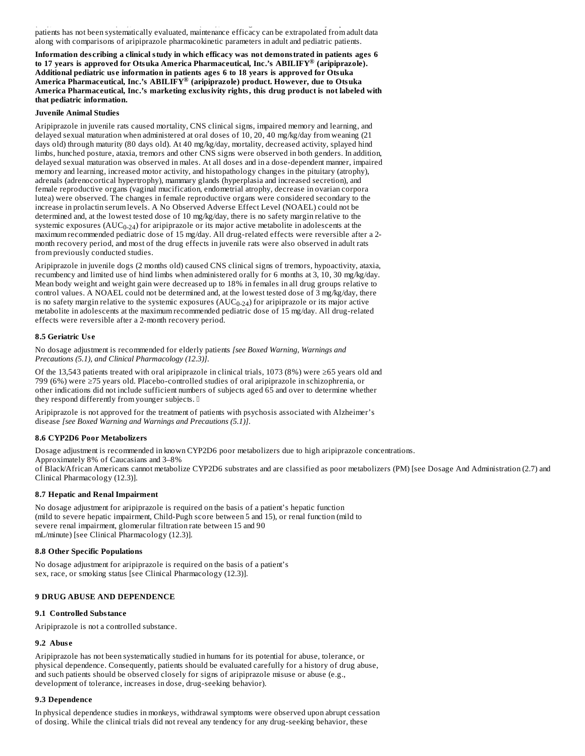*(2.1), Adverse Reactions (6.1)*, and *Clinical Studies (14.1)]*. Although maintenance efficacy in pediatric patients has not been systematically evaluated, maintenance efficacy can be extrapolated from adult data along with comparisons of aripiprazole pharmacokinetic parameters in adult and pediatric patients.

**Information des cribing a clinical study in which efficacy was not demonstrated in patients ages 6 to 17 years is approved for Otsuka America Pharmaceutical, Inc.'s ABILIFY (aripiprazole). ® Additional pediatric us e information in patients ages 6 to 18 years is approved for Otsuka America Pharmaceutical, Inc.'s ABILIFY (aripiprazole) product. However, due to Otsuka ® America Pharmaceutical, Inc.'s marketing exclusivity rights, this drug product is not labeled with that pediatric information.**

#### **Juvenile Animal Studies**

Aripiprazole in juvenile rats caused mortality, CNS clinical signs, impaired memory and learning, and delayed sexual maturation when administered at oral doses of 10, 20, 40 mg/kg/day from weaning (21 days old) through maturity (80 days old). At 40 mg/kg/day, mortality, decreased activity, splayed hind limbs, hunched posture, ataxia, tremors and other CNS signs were observed in both genders. In addition, delayed sexual maturation was observed in males. At all doses and in a dose-dependent manner, impaired memory and learning, increased motor activity, and histopathology changes in the pituitary (atrophy), adrenals (adrenocortical hypertrophy), mammary glands (hyperplasia and increased secretion), and female reproductive organs (vaginal mucification, endometrial atrophy, decrease in ovarian corpora lutea) were observed. The changes in female reproductive organs were considered secondary to the increase in prolactin serum levels. A No Observed Adverse Effect Level (NOAEL) could not be determined and, at the lowest tested dose of 10 mg/kg/day, there is no safety margin relative to the systemic exposures  $(AUC_{0-24})$  for aripiprazole or its major active metabolite in adolescents at the maximum recommended pediatric dose of 15 mg/day. All drug-related effects were reversible after a 2 month recovery period, and most of the drug effects in juvenile rats were also observed in adult rats from previously conducted studies.

Aripiprazole in juvenile dogs (2 months old) caused CNS clinical signs of tremors, hypoactivity, ataxia, recumbency and limited use of hind limbs when administered orally for 6 months at 3, 10, 30 mg/kg/day. Mean body weight and weight gain were decreased up to 18% in females in all drug groups relative to control values. A NOAEL could not be determined and, at the lowest tested dose of 3 mg/kg/day, there is no safety margin relative to the systemic exposures  $(AUC_{0-24})$  for aripiprazole or its major active metabolite in adolescents at the maximum recommended pediatric dose of 15 mg/day. All drug-related effects were reversible after a 2-month recovery period.

### **8.5 Geriatric Us e**

No dosage adjustment is recommended for elderly patients *[see Boxed Warning, Warnings and Precautions (5.1), and Clinical Pharmacology (12.3)]*.

Of the 13,543 patients treated with oral aripiprazole in clinical trials, 1073 (8%) were ≥65 years old and 799 (6%) were ≥75 years old. Placebo-controlled studies of oral aripiprazole in schizophrenia, or other indications did not include sufficient numbers of subjects aged 65 and over to determine whether they respond differently from younger subjects.

Aripiprazole is not approved for the treatment of patients with psychosis associated with Alzheimer's disease *[see Boxed Warning and Warnings and Precautions (5.1)]*.

#### **8.6 CYP2D6 Poor Metabolizers**

Dosage adjustment is recommended in known CYP2D6 poor metabolizers due to high aripiprazole concentrations. Approximately 8% of Caucasians and 3–8% of Black/African Americans cannot metabolize CYP2D6 substrates and are classified as poor metabolizers (PM) [see Dosage And Administration (2.7) and Clinical Pharmacology (12.3)].

### **8.7 Hepatic and Renal Impairment**

No dosage adjustment for aripiprazole is required on the basis of a patient's hepatic function (mild to severe hepatic impairment, Child-Pugh score between 5 and 15), or renal function (mild to severe renal impairment, glomerular filtration rate between 15 and 90 mL/minute) [see Clinical Pharmacology (12.3)].

### **8.8 Other Specific Populations**

No dosage adjustment for aripiprazole is required on the basis of a patient's sex, race, or smoking status [see Clinical Pharmacology (12.3)].

### **9 DRUG ABUSE AND DEPENDENCE**

### **9.1 Controlled Substance**

Aripiprazole is not a controlled substance.

### **9.2 Abus e**

Aripiprazole has not been systematically studied in humans for its potential for abuse, tolerance, or physical dependence. Consequently, patients should be evaluated carefully for a history of drug abuse, and such patients should be observed closely for signs of aripiprazole misuse or abuse (e.g., development of tolerance, increases in dose, drug-seeking behavior).

### **9.3 Dependence**

In physical dependence studies in monkeys, withdrawal symptoms were observed upon abrupt cessation of dosing. While the clinical trials did not reveal any tendency for any drug-seeking behavior, these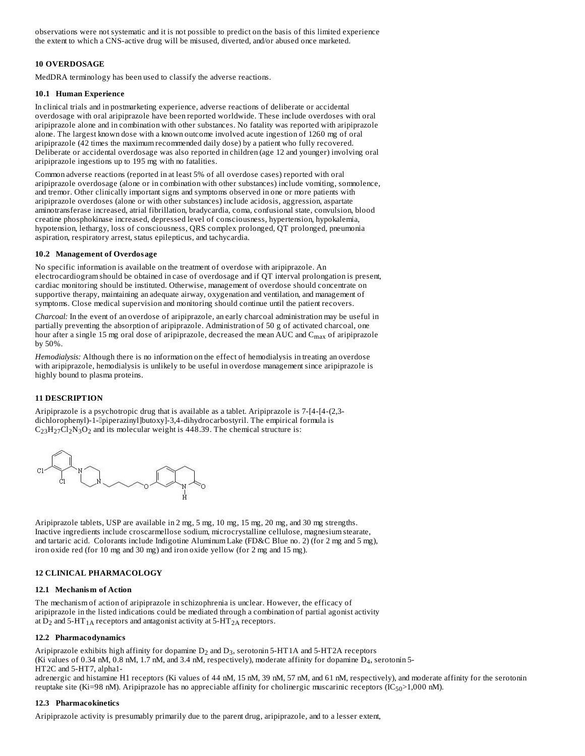observations were not systematic and it is not possible to predict on the basis of this limited experience the extent to which a CNS-active drug will be misused, diverted, and/or abused once marketed.

# **10 OVERDOSAGE**

MedDRA terminology has been used to classify the adverse reactions.

### **10.1 Human Experience**

In clinical trials and in postmarketing experience, adverse reactions of deliberate or accidental overdosage with oral aripiprazole have been reported worldwide. These include overdoses with oral aripiprazole alone and in combination with other substances. No fatality was reported with aripiprazole alone. The largest known dose with a known outcome involved acute ingestion of 1260 mg of oral aripiprazole (42 times the maximum recommended daily dose) by a patient who fully recovered. Deliberate or accidental overdosage was also reported in children (age 12 and younger) involving oral aripiprazole ingestions up to 195 mg with no fatalities.

Common adverse reactions (reported in at least 5% of all overdose cases) reported with oral aripiprazole overdosage (alone or in combination with other substances) include vomiting, somnolence, and tremor. Other clinically important signs and symptoms observed in one or more patients with aripiprazole overdoses (alone or with other substances) include acidosis, aggression, aspartate aminotransferase increased, atrial fibrillation, bradycardia, coma, confusional state, convulsion, blood creatine phosphokinase increased, depressed level of consciousness, hypertension, hypokalemia, hypotension, lethargy, loss of consciousness, QRS complex prolonged, QT prolonged, pneumonia aspiration, respiratory arrest, status epilepticus, and tachycardia.

### **10.2 Management of Overdosage**

No specific information is available on the treatment of overdose with aripiprazole. An electrocardiogram should be obtained in case of overdosage and if QT interval prolongation is present, cardiac monitoring should be instituted. Otherwise, management of overdose should concentrate on supportive therapy, maintaining an adequate airway, oxygenation and ventilation, and management of symptoms. Close medical supervision and monitoring should continue until the patient recovers.

*Charcoal:* In the event of an overdose of aripiprazole, an early charcoal administration may be useful in partially preventing the absorption of aripiprazole. Administration of 50 g of activated charcoal, one hour after a single 15 mg oral dose of aripiprazole, decreased the mean AUC and  $\rm C_{max}$  of aripiprazole by 50%.

*Hemodialysis:* Although there is no information on the effect of hemodialysis in treating an overdose with aripiprazole, hemodialysis is unlikely to be useful in overdose management since aripiprazole is highly bound to plasma proteins.

### **11 DESCRIPTION**

Aripiprazole is a psychotropic drug that is available as a tablet. Aripiprazole is 7-[4-[4-(2,3 dichlorophenyl)-1-<sup>[</sup>piperazinyl]butoxy]-3,4-dihydrocarbostyril. The empirical formula is  $C_{23}H_{27}Cl_{2}N_{3}O_{2}$  and its molecular weight is 448.39. The chemical structure is:



Aripiprazole tablets, USP are available in 2 mg, 5 mg, 10 mg, 15 mg, 20 mg, and 30 mg strengths. Inactive ingredients include croscarmellose sodium, microcrystalline cellulose, magnesium stearate, and tartaric acid. Colorants include Indigotine Aluminum Lake (FD&C Blue no. 2) (for 2 mg and 5 mg), iron oxide red (for 10 mg and 30 mg) and iron oxide yellow (for 2 mg and 15 mg).

## **12 CLINICAL PHARMACOLOGY**

#### **12.1 Mechanism of Action**

The mechanism of action of aripiprazole in schizophrenia is unclear. However, the efficacy of aripiprazole in the listed indications could be mediated through a combination of partial agonist activity at  $D_2$  and 5-HT<sub>1A</sub> receptors and antagonist activity at 5-HT<sub>2A</sub> receptors.

### **12.2 Pharmacodynamics**

Aripiprazole exhibits high affinity for dopamine  $\mathrm{D}_2$  and  $\mathrm{D}_3$ , serotonin 5-HT1A and 5-HT2A receptors (Ki values of 0.34 nM, 0.8 nM, 1.7 nM, and 3.4 nM, respectively), moderate affinity for dopamine  $\rm D_4$ , serotonin 5-HT2C and 5-HT7, alpha1 adrenergic and histamine H1 receptors (Ki values of 44 nM, 15 nM, 39 nM, 57 nM, and 61 nM, respectively), and moderate affinity for the serotonin

reuptake site (Ki=98 nM). Aripiprazole has no appreciable affinity for cholinergic muscarinic receptors (IC $_{50}$ >1,000 nM).

### **12.3 Pharmacokinetics**

Aripiprazole activity is presumably primarily due to the parent drug, aripiprazole, and to a lesser extent,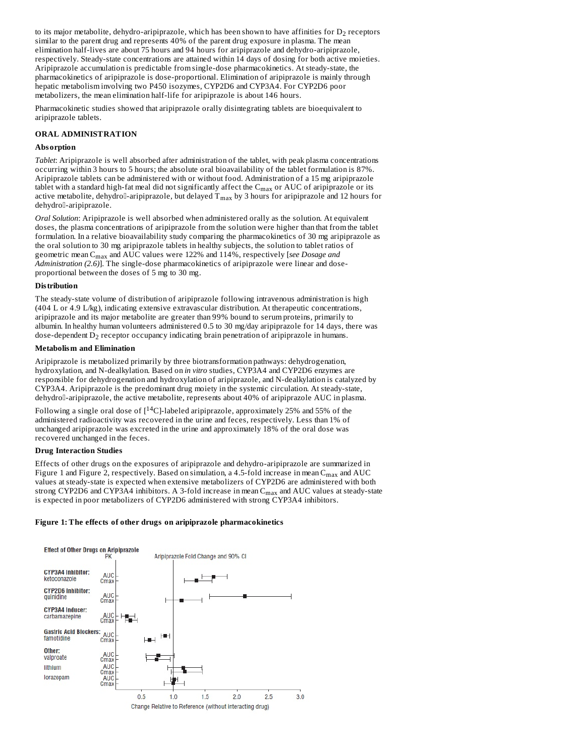to its major metabolite, dehydro-aripiprazole, which has been shown to have affinities for  $\mathrm{D}_2$  receptors similar to the parent drug and represents 40% of the parent drug exposure in plasma. The mean elimination half-lives are about 75 hours and 94 hours for aripiprazole and dehydro-aripiprazole, respectively. Steady-state concentrations are attained within 14 days of dosing for both active moieties. Aripiprazole accumulation is predictable from single-dose pharmacokinetics. At steady-state, the pharmacokinetics of aripiprazole is dose-proportional. Elimination of aripiprazole is mainly through hepatic metabolism involving two P450 isozymes, CYP2D6 and CYP3A4. For CYP2D6 poor metabolizers, the mean elimination half-life for aripiprazole is about 146 hours.

Pharmacokinetic studies showed that aripiprazole orally disintegrating tablets are bioequivalent to aripiprazole tablets.

### **ORAL ADMINISTRATION**

### **Absorption**

*Tablet*: Aripiprazole is well absorbed after administration of the tablet, with peak plasma concentrations occurring within 3 hours to 5 hours; the absolute oral bioavailability of the tablet formulation is 87%. Aripiprazole tablets can be administered with or without food. Administration of a 15 mg aripiprazole tablet with a standard high-fat meal did not significantly affect the  $\rm C_{max}$  or AUC of aripiprazole or its active metabolite, dehydro $\mathbb I$ -aripiprazole, but delayed  $\mathtt{T_{max}}$  by 3 hours for aripiprazole and 12 hours for dehydro<sup>[]</sup>-aripiprazole.

*Oral Solution*: Aripiprazole is well absorbed when administered orally as the solution. At equivalent doses, the plasma concentrations of aripiprazole from the solution were higher than that from the tablet formulation. In a relative bioavailability study comparing the pharmacokinetics of 30 mg aripiprazole as the oral solution to 30 mg aripiprazole tablets in healthy subjects, the solution to tablet ratios of geometric mean C<sub>max</sub> and AUC values were 122% and 114%, respectively [*see Dosage and Administration (2.6)*]. The single-dose pharmacokinetics of aripiprazole were linear and doseproportional between the doses of 5 mg to 30 mg.

### **Distribution**

The steady-state volume of distribution of aripiprazole following intravenous administration is high (404 L or 4.9 L/kg), indicating extensive extravascular distribution. At therapeutic concentrations, aripiprazole and its major metabolite are greater than 99% bound to serum proteins, primarily to albumin. In healthy human volunteers administered 0.5 to 30 mg/day aripiprazole for 14 days, there was dose-dependent  $D_2$  receptor occupancy indicating brain penetration of aripiprazole in humans.

### **Metabolism and Elimination**

Aripiprazole is metabolized primarily by three biotransformation pathways: dehydrogenation, hydroxylation, and N-dealkylation. Based on *in vitro* studies, CYP3A4 and CYP2D6 enzymes are responsible for dehydrogenation and hydroxylation of aripiprazole, and N-dealkylation is catalyzed by CYP3A4. Aripiprazole is the predominant drug moiety in the systemic circulation. At steady-state, dehydro<sup>[]</sup>-aripiprazole, the active metabolite, represents about 40% of aripiprazole AUC in plasma.

Following a single oral dose of  $[$ <sup>14</sup>C]-labeled aripiprazole, approximately 25% and 55% of the administered radioactivity was recovered in the urine and feces, respectively. Less than 1% of unchanged aripiprazole was excreted in the urine and approximately 18% of the oral dose was recovered unchanged in the feces.

### **Drug Interaction Studies**

Effects of other drugs on the exposures of aripiprazole and dehydro-aripiprazole are summarized in Figure 1 and Figure 2, respectively. Based on simulation, a 4.5-fold increase in mean  $\rm C_{max}$  and  $\rm AUC$ values at steady-state is expected when extensive metabolizers of CYP2D6 are administered with both strong CYP2D6 and CYP3A4 inhibitors. A 3-fold increase in mean  $C_{\max}$  and AUC values at steady-state is expected in poor metabolizers of CYP2D6 administered with strong CYP3A4 inhibitors.

# **Figure 1: The effects of other drugs on aripiprazole pharmacokinetics**

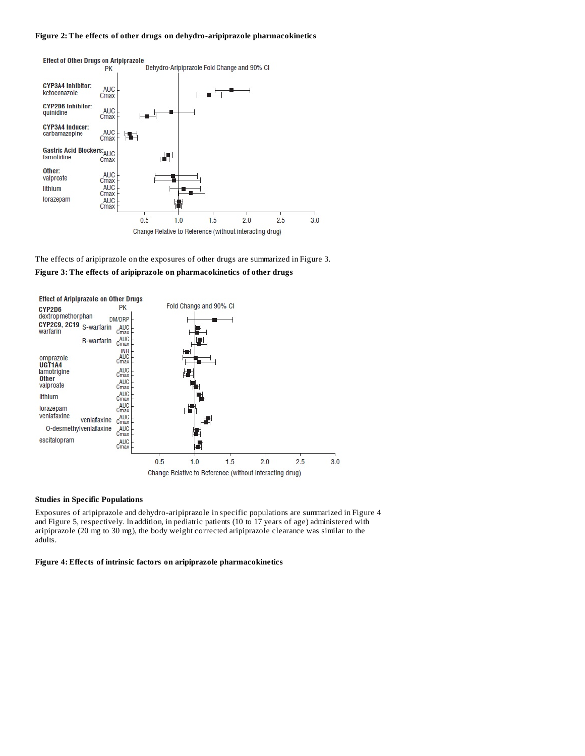# **Figure 2: The effects of other drugs on dehydro-aripiprazole pharmacokinetics**



The effects of aripiprazole on the exposures of other drugs are summarized in Figure 3.

# **Figure 3: The effects of aripiprazole on pharmacokinetics of other drugs**



### **Studies in Specific Populations**

Exposures of aripiprazole and dehydro-aripiprazole in specific populations are summarized in Figure 4 and Figure 5, respectively. In addition, in pediatric patients (10 to 17 years of age) administered with aripiprazole (20 mg to 30 mg), the body weight corrected aripiprazole clearance was similar to the adults.

### **Figure 4: Effects of intrinsic factors on aripiprazole pharmacokinetics**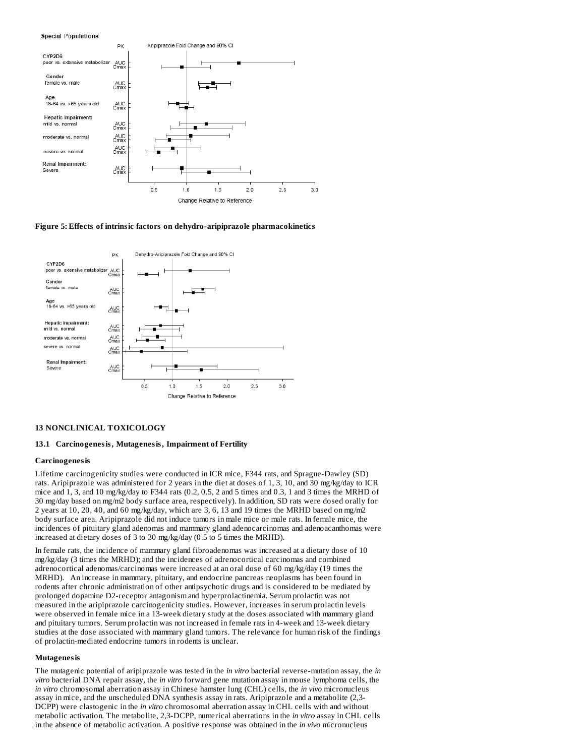#### **Special Populations**



### **Figure 5: Effects of intrinsic factors on dehydro-aripiprazole pharmacokinetics**



#### **13 NONCLINICAL TOXICOLOGY**

#### **13.1 Carcinogenesis, Mutagenesis, Impairment of Fertility**

#### **Carcinogenesis**

Lifetime carcinogenicity studies were conducted in ICR mice, F344 rats, and Sprague-Dawley (SD) rats. Aripiprazole was administered for 2 years in the diet at doses of 1, 3, 10, and 30 mg/kg/day to ICR mice and 1, 3, and 10 mg/kg/day to F344 rats (0.2, 0.5, 2 and 5 times and 0.3, 1 and 3 times the MRHD of 30 mg/day based on mg/m2 body surface area, respectively). In addition, SD rats were dosed orally for 2 years at 10, 20, 40, and 60 mg/kg/day, which are 3, 6, 13 and 19 times the MRHD based on mg/m2 body surface area. Aripiprazole did not induce tumors in male mice or male rats. In female mice, the incidences of pituitary gland adenomas and mammary gland adenocarcinomas and adenoacanthomas were increased at dietary doses of 3 to 30 mg/kg/day (0.5 to 5 times the MRHD).

In female rats, the incidence of mammary gland fibroadenomas was increased at a dietary dose of 10 mg/kg/day (3 times the MRHD); and the incidences of adrenocortical carcinomas and combined adrenocortical adenomas/carcinomas were increased at an oral dose of 60 mg/kg/day (19 times the MRHD). An increase in mammary, pituitary, and endocrine pancreas neoplasms has been found in rodents after chronic administration of other antipsychotic drugs and is considered to be mediated by prolonged dopamine D2-receptor antagonism and hyperprolactinemia. Serum prolactin was not measured in the aripiprazole carcinogenicity studies. However, increases in serum prolactin levels were observed in female mice in a 13-week dietary study at the doses associated with mammary gland and pituitary tumors. Serum prolactin was not increased in female rats in 4-week and 13-week dietary studies at the dose associated with mammary gland tumors. The relevance for human risk of the findings of prolactin-mediated endocrine tumors in rodents is unclear.

#### **Mutagenesis**

The mutagenic potential of aripiprazole was tested in the *in vitro* bacterial reverse-mutation assay, the *in vitro* bacterial DNA repair assay, the *in vitro* forward gene mutation assay in mouse lymphoma cells, the *in vitro* chromosomal aberration assay in Chinese hamster lung (CHL) cells, the *in vivo* micronucleus assay in mice, and the unscheduled DNA synthesis assay in rats. Aripiprazole and a metabolite (2,3- DCPP) were clastogenic in the *in vitro* chromosomal aberration assay in CHL cells with and without metabolic activation. The metabolite, 2,3-DCPP, numerical aberrations in the *in vitro* assay in CHL cells in the absence of metabolic activation. A positive response was obtained in the *in vivo* micronucleus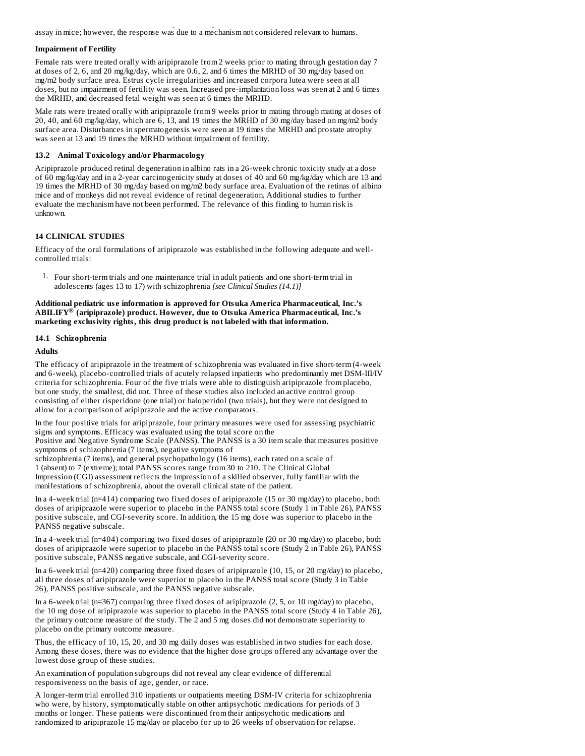in the absence of metabolic activation. A positive response was obtained in the *in vivo* micronucleus assay in mice; however, the response was due to a mechanism not considered relevant to humans.

#### **Impairment of Fertility**

Female rats were treated orally with aripiprazole from 2 weeks prior to mating through gestation day 7 at doses of 2, 6, and 20 mg/kg/day, which are 0.6, 2, and 6 times the MRHD of 30 mg/day based on mg/m2 body surface area. Estrus cycle irregularities and increased corpora lutea were seen at all doses, but no impairment of fertility was seen. Increased pre-implantation loss was seen at 2 and 6 times the MRHD, and decreased fetal weight was seen at 6 times the MRHD.

Male rats were treated orally with aripiprazole from 9 weeks prior to mating through mating at doses of 20, 40, and 60 mg/kg/day, which are 6, 13, and 19 times the MRHD of 30 mg/day based on mg/m2 body surface area. Disturbances in spermatogenesis were seen at 19 times the MRHD and prostate atrophy was seen at 13 and 19 times the MRHD without impairment of fertility.

#### **13.2 Animal Toxicology and/or Pharmacology**

Aripiprazole produced retinal degeneration in albino rats in a 26-week chronic toxicity study at a dose of 60 mg/kg/day and in a 2-year carcinogenicity study at doses of 40 and 60 mg/kg/day which are 13 and 19 times the MRHD of 30 mg/day based on mg/m2 body surface area. Evaluation of the retinas of albino mice and of monkeys did not reveal evidence of retinal degeneration. Additional studies to further evaluate the mechanism have not been performed. The relevance of this finding to human risk is unknown.

### **14 CLINICAL STUDIES**

Efficacy of the oral formulations of aripiprazole was established in the following adequate and wellcontrolled trials:

1. Four short-term trials and one maintenance trial in adult patients and one short-term trial in adolescents (ages 13 to 17) with schizophrenia *[see Clinical Studies (14.1)]*

**Additional pediatric us e information is approved for Otsuka America Pharmaceutical, Inc.'s ABILIFY (aripiprazole) product. However, due to Otsuka America Pharmaceutical, Inc.'s ®marketing exclusivity rights, this drug product is not labeled with that information.**

### **14.1 Schizophrenia**

### **Adults**

The efficacy of aripiprazole in the treatment of schizophrenia was evaluated in five short-term (4-week and 6-week), placebo-controlled trials of acutely relapsed inpatients who predominantly met DSM-III/IV criteria for schizophrenia. Four of the five trials were able to distinguish aripiprazole from placebo, but one study, the smallest, did not. Three of these studies also included an active control group consisting of either risperidone (one trial) or haloperidol (two trials), but they were not designed to allow for a comparison of aripiprazole and the active comparators.

In the four positive trials for aripiprazole, four primary measures were used for assessing psychiatric signs and symptoms. Efficacy was evaluated using the total score on the Positive and Negative Syndrome Scale (PANSS). The PANSS is a 30 item scale that measures positive

symptoms of schizophrenia (7 items), negative symptoms of schizophrenia (7 items), and general psychopathology (16 items), each rated on a scale of 1 (absent) to 7 (extreme); total PANSS scores range from 30 to 210. The Clinical Global Impression (CGI) assessment reflects the impression of a skilled observer, fully familiar with the manifestations of schizophrenia, about the overall clinical state of the patient.

In a 4-week trial (n=414) comparing two fixed doses of aripiprazole (15 or 30 mg/day) to placebo, both doses of aripiprazole were superior to placebo in the PANSS total score (Study 1 in Table 26), PANSS positive subscale, and CGI-severity score. In addition, the 15 mg dose was superior to placebo in the PANSS negative subscale.

In a 4-week trial (n=404) comparing two fixed doses of aripiprazole (20 or 30 mg/day) to placebo, both doses of aripiprazole were superior to placebo in the PANSS total score (Study 2 in Table 26), PANSS positive subscale, PANSS negative subscale, and CGI-severity score.

In a 6-week trial (n=420) comparing three fixed doses of aripiprazole (10, 15, or 20 mg/day) to placebo, all three doses of aripiprazole were superior to placebo in the PANSS total score (Study 3 in Table 26), PANSS positive subscale, and the PANSS negative subscale.

In a 6-week trial (n=367) comparing three fixed doses of aripiprazole (2, 5, or 10 mg/day) to placebo, the 10 mg dose of aripiprazole was superior to placebo in the PANSS total score (Study 4 in Table 26), the primary outcome measure of the study. The 2 and 5 mg doses did not demonstrate superiority to placebo on the primary outcome measure.

Thus, the efficacy of 10, 15, 20, and 30 mg daily doses was established in two studies for each dose. Among these doses, there was no evidence that the higher dose groups offered any advantage over the lowest dose group of these studies.

An examination of population subgroups did not reveal any clear evidence of differential responsiveness on the basis of age, gender, or race.

A longer-term trial enrolled 310 inpatients or outpatients meeting DSM-IV criteria for schizophrenia who were, by history, symptomatically stable on other antipsychotic medications for periods of 3 months or longer. These patients were discontinued from their antipsychotic medications and randomized to aripiprazole 15 mg/day or placebo for up to 26 weeks of observation for relapse.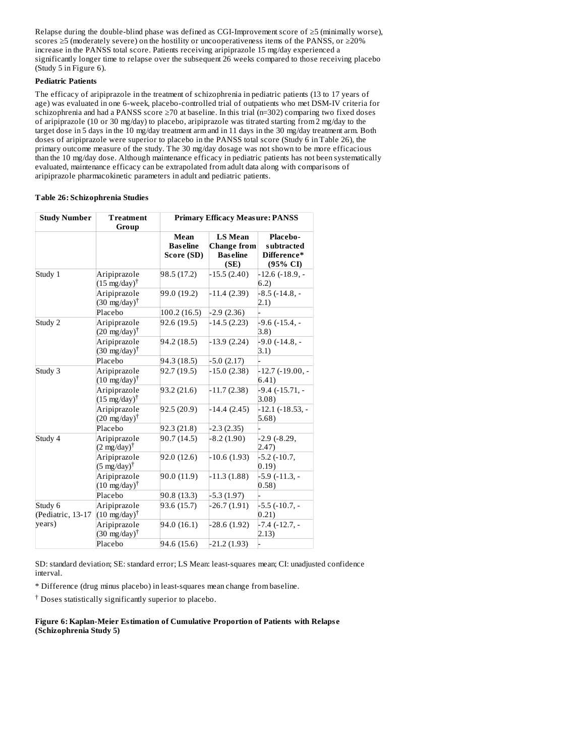Relapse during the double-blind phase was defined as CGI-Improvement score of ≥5 (minimally worse), scores  $\geq$ 5 (moderately severe) on the hostility or uncooperativeness items of the PANSS, or  $\geq$ 20% increase in the PANSS total score. Patients receiving aripiprazole 15 mg/day experienced a significantly longer time to relapse over the subsequent 26 weeks compared to those receiving placebo (Study 5 in Figure 6).

### **Pediatric Patients**

The efficacy of aripiprazole in the treatment of schizophrenia in pediatric patients (13 to 17 years of age) was evaluated in one 6-week, placebo-controlled trial of outpatients who met DSM-IV criteria for schizophrenia and had a PANSS score ≥70 at baseline. In this trial (n=302) comparing two fixed doses of aripiprazole (10 or 30 mg/day) to placebo, aripiprazole was titrated starting from 2 mg/day to the target dose in 5 days in the 10 mg/day treatment arm and in 11 days in the 30 mg/day treatment arm. Both doses of aripiprazole were superior to placebo in the PANSS total score (Study 6 in Table 26), the primary outcome measure of the study. The 30 mg/day dosage was not shown to be more efficacious than the 10 mg/day dose. Although maintenance efficacy in pediatric patients has not been systematically evaluated, maintenance efficacy can be extrapolated from adult data along with comparisons of aripiprazole pharmacokinetic parameters in adult and pediatric patients.

### **Table 26: Schizophrenia Studies**

| <b>Study Number</b>          | <b>Primary Efficacy Measure: PANSS</b><br>Treatment<br>Group |                         |                                      |                                         |  |  |
|------------------------------|--------------------------------------------------------------|-------------------------|--------------------------------------|-----------------------------------------|--|--|
|                              |                                                              | Mean<br><b>Baseline</b> | <b>LS Mean</b><br><b>Change from</b> | <b>Placebo-</b><br>subtracted           |  |  |
|                              |                                                              | Score (SD)              | <b>Baseline</b>                      | Difference*                             |  |  |
| Study 1                      | Aripiprazole<br>$(15 \text{ mg/day})^{\dagger}$              | 98.5 (17.2)             | (SE)<br>$-15.5(2.40)$                | (95% CI)<br>$-12.6$ $(-18.9, -$<br>6.2) |  |  |
|                              | Aripiprazole<br>$(30 \text{ mg/day})^{\dagger}$              | 99.0 (19.2)             | $-11.4(2.39)$                        | $-8.5(-14.8,-$<br>2.1)                  |  |  |
|                              | Placebo                                                      | 100.2 (16.5)            | $-2.9(2.36)$                         |                                         |  |  |
| Study 2                      | Aripiprazole<br>$(20 \text{ mg/day})^{\dagger}$              | 92.6 (19.5)             | $-14.5(2.23)$                        | $-9.6$ $(-15.4, -$<br>3.8)              |  |  |
|                              | Aripiprazole<br>$(30 \text{ mg/day})^{\dagger}$              | 94.2 (18.5)             | $-13.9(2.24)$                        | $-9.0$ $(-14.8, -$<br>3.1)              |  |  |
|                              | Placebo                                                      | 94.3 (18.5)             | $-5.0(2.17)$                         |                                         |  |  |
| Study 3                      | Aripiprazole<br>$(10 \text{ mg/day})^{\dagger}$              | 92.7 (19.5)             | $-15.0(2.38)$                        | $-12.7$ ( $-19.00$ , $-$<br>6.41)       |  |  |
|                              | Aripiprazole<br>$(15 \text{ mg/day})^{\dagger}$              | 93.2 (21.6)             | $-11.7(2.38)$                        | $-9.4$ $(-15.71, -$<br>3.08)            |  |  |
|                              | Aripiprazole<br>$(20 \text{ mg/day})^{\dagger}$              | 92.5(20.9)              | $-14.4(2.45)$                        | $-12.1$ ( $-18.53$ , $-$<br>5.68)       |  |  |
|                              | Placebo                                                      | 92.3 (21.8)             | $-2.3(2.35)$                         |                                         |  |  |
| Study 4                      | Aripiprazole<br>$(2 \text{ mg/day})^{\dagger}$               | 90.7 (14.5)             | $-8.2(1.90)$                         | $-2.9$ $(-8.29,$<br>2.47)               |  |  |
|                              | Aripiprazole<br>$(5 \text{ mg/day})^{\dagger}$               | 92.0 (12.6)             | $-10.6(1.93)$                        | $-5.2$ $(-10.7,$<br>0.19)               |  |  |
|                              | Aripiprazole<br>$(10 \text{ mg/day})^{\dagger}$              | 90.0 (11.9)             | $-11.3(1.88)$                        | $-5.9$ $(-11.3, -$<br>0.58)             |  |  |
|                              | Placebo                                                      | 90.8 (13.3)             | -5.3 (1.97)                          |                                         |  |  |
| Study 6<br>(Pediatric, 13-17 | Aripiprazole<br>$(10 \text{ mg/day})^{\dagger}$              | 93.6 (15.7)             | $-26.7(1.91)$                        | $-5.5$ ( $-10.7$ , $-$<br>0.21)         |  |  |
| years)                       | Aripiprazole<br>$(30 \text{ mg/day})^{\dagger}$              | 94.0 (16.1)             | $-28.6(1.92)$                        | $-7.4$ ( $-12.7$ , $-$<br>2.13)         |  |  |
|                              | Placebo                                                      | 94.6 (15.6)             | $-21.2(1.93)$                        |                                         |  |  |

SD: standard deviation; SE: standard error; LS Mean: least-squares mean; CI: unadjusted confidence interval.

\* Difference (drug minus placebo) in least-squares mean change from baseline.

Doses statistically significantly superior to placebo. †

**Figure 6: Kaplan-Meier Estimation of Cumulative Proportion of Patients with Relaps e (Schizophrenia Study 5)**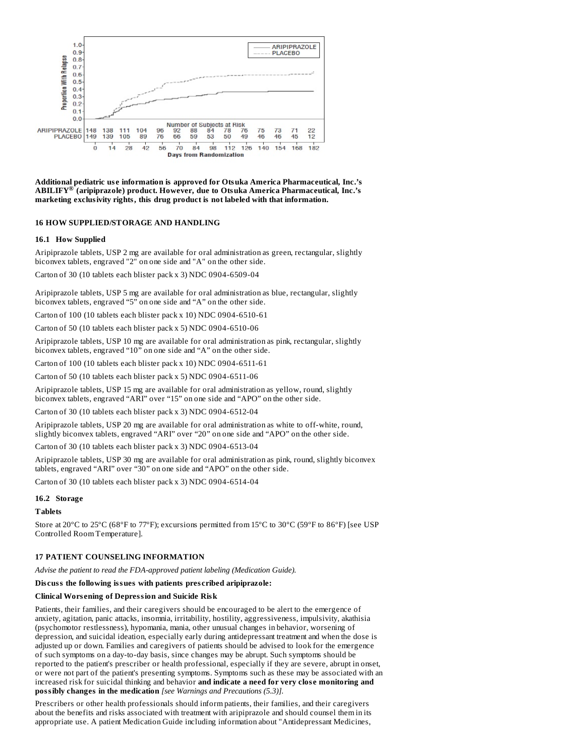

**Additional pediatric us e information is approved for Otsuka America Pharmaceutical, Inc.'s ABILIFY (aripiprazole) product. However, due to Otsuka America Pharmaceutical, Inc.'s ®marketing exclusivity rights, this drug product is not labeled with that information.**

#### **16 HOW SUPPLIED/STORAGE AND HANDLING**

#### **16.1 How Supplied**

Aripiprazole tablets, USP 2 mg are available for oral administration as green, rectangular, slightly biconvex tablets, engraved "2" on one side and "A" on the other side.

Carton of 30 (10 tablets each blister pack x 3) NDC 0904-6509-04

Aripiprazole tablets, USP 5 mg are available for oral administration as blue, rectangular, slightly biconvex tablets, engraved "5" on one side and "A" on the other side.

Carton of 100 (10 tablets each blister pack x 10) NDC 0904-6510-61

Carton of 50 (10 tablets each blister pack x 5) NDC 0904-6510-06

Aripiprazole tablets, USP 10 mg are available for oral administration as pink, rectangular, slightly biconvex tablets, engraved "10" on one side and "A" on the other side.

Carton of 100 (10 tablets each blister pack x 10) NDC 0904-6511-61

Carton of 50 (10 tablets each blister pack x 5) NDC 0904-6511-06

Aripiprazole tablets, USP 15 mg are available for oral administration as yellow, round, slightly biconvex tablets, engraved "ARI" over "15" on one side and "APO" on the other side.

Carton of 30 (10 tablets each blister pack x 3) NDC 0904-6512-04

Aripiprazole tablets, USP 20 mg are available for oral administration as white to off-white, round, slightly biconvex tablets, engraved "ARI" over "20" on one side and "APO" on the other side.

Carton of 30 (10 tablets each blister pack x 3) NDC 0904-6513-04

Aripiprazole tablets, USP 30 mg are available for oral administration as pink, round, slightly biconvex tablets, engraved "ARI" over "30" on one side and "APO" on the other side.

Carton of 30 (10 tablets each blister pack x 3) NDC 0904-6514-04

### **16.2 Storage**

#### **Tablets**

Store at 20ºC to 25ºC (68ºF to 77ºF); excursions permitted from 15ºC to 30ºC (59ºF to 86ºF) [see USP Controlled Room Temperature].

### **17 PATIENT COUNSELING INFORMATION**

*Advise the patient to read the FDA-approved patient labeling (Medication Guide).*

#### **Dis cuss the following issues with patients pres cribed aripiprazole:**

#### **Clinical Wors ening of Depression and Suicide Risk**

Patients, their families, and their caregivers should be encouraged to be alert to the emergence of anxiety, agitation, panic attacks, insomnia, irritability, hostility, aggressiveness, impulsivity, akathisia (psychomotor restlessness), hypomania, mania, other unusual changes in behavior, worsening of depression, and suicidal ideation, especially early during antidepressant treatment and when the dose is adjusted up or down. Families and caregivers of patients should be advised to look for the emergence of such symptoms on a day-to-day basis, since changes may be abrupt. Such symptoms should be reported to the patient's prescriber or health professional, especially if they are severe, abrupt in onset, or were not part of the patient's presenting symptoms. Symptoms such as these may be associated with an increased risk for suicidal thinking and behavior **and indicate a need for very clos e monitoring and possibly changes in the medication** *[see Warnings and Precautions (5.3)].*

Prescribers or other health professionals should inform patients, their families, and their caregivers about the benefits and risks associated with treatment with aripiprazole and should counsel them in its appropriate use. A patient Medication Guide including information about "Antidepressant Medicines,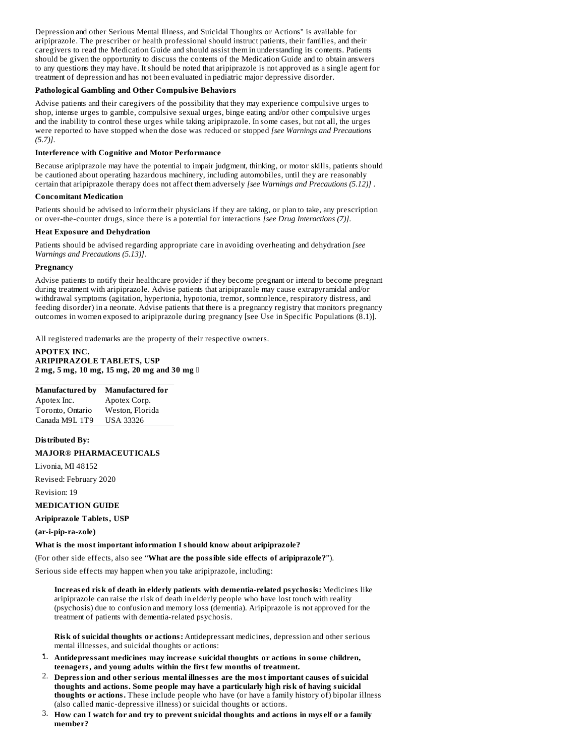Depression and other Serious Mental Illness, and Suicidal Thoughts or Actions" is available for aripiprazole. The prescriber or health professional should instruct patients, their families, and their caregivers to read the Medication Guide and should assist them in understanding its contents. Patients should be given the opportunity to discuss the contents of the Medication Guide and to obtain answers to any questions they may have. It should be noted that aripiprazole is not approved as a single agent for treatment of depression and has not been evaluated in pediatric major depressive disorder.

#### **Pathological Gambling and Other Compulsive Behaviors**

Advise patients and their caregivers of the possibility that they may experience compulsive urges to shop, intense urges to gamble, compulsive sexual urges, binge eating and/or other compulsive urges and the inability to control these urges while taking aripiprazole. In some cases, but not all, the urges were reported to have stopped when the dose was reduced or stopped *[see Warnings and Precautions (5.7)]*.

#### **Interference with Cognitive and Motor Performance**

Because aripiprazole may have the potential to impair judgment, thinking, or motor skills, patients should be cautioned about operating hazardous machinery, including automobiles, until they are reasonably certain that aripiprazole therapy does not affect them adversely *[see Warnings and Precautions (5.12)]* .

#### **Concomitant Medication**

Patients should be advised to inform their physicians if they are taking, or plan to take, any prescription or over-the-counter drugs, since there is a potential for interactions *[see Drug Interactions (7)]*.

### **Heat Exposure and Dehydration**

Patients should be advised regarding appropriate care in avoiding overheating and dehydration *[see Warnings and Precautions (5.13)]*.

### **Pregnancy**

Advise patients to notify their healthcare provider if they become pregnant or intend to become pregnant during treatment with aripiprazole. Advise patients that aripiprazole may cause extrapyramidal and/or withdrawal symptoms (agitation, hypertonia, hypotonia, tremor, somnolence, respiratory distress, and feeding disorder) in a neonate. Advise patients that there is a pregnancy registry that monitors pregnancy outcomes in women exposed to aripiprazole during pregnancy [see Use in Specific Populations (8.1)].

All registered trademarks are the property of their respective owners.

### **APOTEX INC. ARIPIPRAZOLE TABLETS, USP 2 mg, 5 mg, 10 mg, 15 mg, 20 mg and 30 mg**

### **Manufactured by Manufactured for**

Apotex Inc. Apotex Corp. Toronto, Ontario Weston, Florida Canada M9L 1T9 USA 33326

**Distributed By: MAJOR® PHARMACEUTICALS**

Livonia, MI 48152

Revised: February 2020

Revision: 19

### **MEDICATION GUIDE**

### **Aripiprazole Tablets, USP**

**(ar-i-pip-ra-zole)**

### **What is the most important information I should know about aripiprazole?**

(For other side effects, also see "**What are the possible side effects of aripiprazole?**").

Serious side effects may happen when you take aripiprazole, including:

**Increas ed risk of death in elderly patients with dementia-related psychosis:** Medicines like aripiprazole can raise the risk of death in elderly people who have lost touch with reality (psychosis) due to confusion and memory loss (dementia). Aripiprazole is not approved for the treatment of patients with dementia-related psychosis.

**Risk of suicidal thoughts or actions:** Antidepressant medicines, depression and other serious mental illnesses, and suicidal thoughts or actions:

- •1. **Antidepressant medicines may increas e suicidal thoughts or actions in some children, teenagers, and young adults within the first few months of treatment.**
- 2. **Depression and other s erious mental illness es are the most important caus es of suicidal thoughts and actions. Some people may have a particularly high risk of having suicidal thoughts or actions.** These include people who have (or have a family history of) bipolar illness (also called manic-depressive illness) or suicidal thoughts or actions.
- $3.$  How can I watch for and try to prevent suicidal thoughts and actions in myself or a family **member?**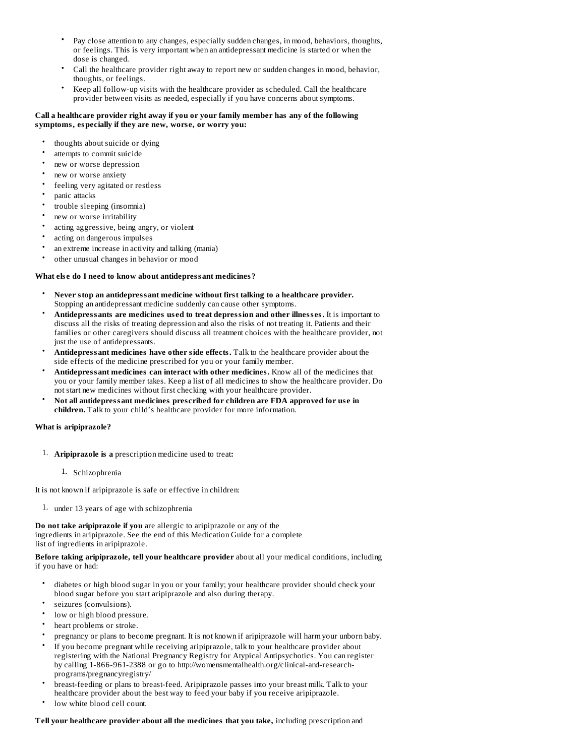- Pay close attention to any changes, especially sudden changes, in mood, behaviors, thoughts, or feelings. This is very important when an antidepressant medicine is started or when the dose is changed.
- Call the healthcare provider right away to report new or sudden changes in mood, behavior, thoughts, or feelings.
- Keep all follow-up visits with the healthcare provider as scheduled. Call the healthcare provider between visits as needed, especially if you have concerns about symptoms.

#### **Call a healthcare provider right away if you or your family member has any of the following symptoms, especially if they are new, wors e, or worry you:**

- thoughts about suicide or dying
- attempts to commit suicide
- new or worse depression
- new or worse anxiety
- feeling very agitated or restless
- panic attacks
- trouble sleeping (insomnia)
- new or worse irritability
- acting aggressive, being angry, or violent
- acting on dangerous impulses
- an extreme increase in activity and talking (mania)
- other unusual changes in behavior or mood

#### **What els e do I need to know about antidepressant medicines?**

- **Never stop an antidepressant medicine without first talking to a healthcare provider.** Stopping an antidepressant medicine suddenly can cause other symptoms.
- **Antidepressants are medicines us ed to treat depression and other illness es.** It is important to discuss all the risks of treating depression and also the risks of not treating it. Patients and their families or other caregivers should discuss all treatment choices with the healthcare provider, not just the use of antidepressants.
- **Antidepressant medicines have other side effects.** Talk to the healthcare provider about the side effects of the medicine prescribed for you or your family member.
- **Antidepressant medicines can interact with other medicines.** Know all of the medicines that you or your family member takes. Keep a list of all medicines to show the healthcare provider. Do not start new medicines without first checking with your healthcare provider.
- **Not all antidepressant medicines pres cribed for children are FDA approved for us e in children.** Talk to your child's healthcare provider for more information.

### **What is aripiprazole?**

- 1. **Aripiprazole is a** prescription medicine used to treat**:**
	- 1. Schizophrenia

It is not known if aripiprazole is safe or effective in children:

1. under 13 years of age with schizophrenia

**Do not take aripiprazole if you** are allergic to aripiprazole or any of the ingredients in aripiprazole. See the end of this Medication Guide for a complete list of ingredients in aripiprazole.

**Before taking aripiprazole, tell your healthcare provider** about all your medical conditions, including if you have or had:

- diabetes or high blood sugar in you or your family; your healthcare provider should check your blood sugar before you start aripiprazole and also during therapy.
- seizures (convulsions).
- low or high blood pressure.
- heart problems or stroke.
- pregnancy or plans to become pregnant. It is not known if aripiprazole will harm your unborn baby.
- If you become pregnant while receiving aripiprazole, talk to your healthcare provider about registering with the National Pregnancy Registry for Atypical Antipsychotics. You can register by calling 1-866-961-2388 or go to http://womensmentalhealth.org/clinical-and-researchprograms/pregnancyregistry/
- breast-feeding or plans to breast-feed. Aripiprazole passes into your breast milk. Talk to your healthcare provider about the best way to feed your baby if you receive aripiprazole.
- low white blood cell count.

**Tell your healthcare provider about all the medicines that you take,** including prescription and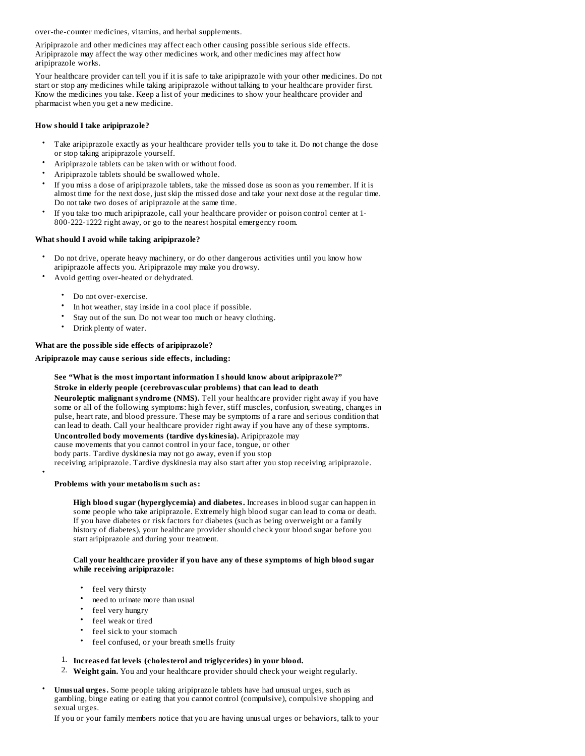over-the-counter medicines, vitamins, and herbal supplements.

Aripiprazole and other medicines may affect each other causing possible serious side effects. Aripiprazole may affect the way other medicines work, and other medicines may affect how aripiprazole works.

Your healthcare provider can tell you if it is safe to take aripiprazole with your other medicines. Do not start or stop any medicines while taking aripiprazole without talking to your healthcare provider first. Know the medicines you take. Keep a list of your medicines to show your healthcare provider and pharmacist when you get a new medicine.

### **How should I take aripiprazole?**

- Take aripiprazole exactly as your healthcare provider tells you to take it. Do not change the dose or stop taking aripiprazole yourself.
- Aripiprazole tablets can be taken with or without food.
- Aripiprazole tablets should be swallowed whole.
- If you miss a dose of aripiprazole tablets, take the missed dose as soon as you remember. If it is almost time for the next dose, just skip the missed dose and take your next dose at the regular time. Do not take two doses of aripiprazole at the same time.
- If you take too much aripiprazole, call your healthcare provider or poison control center at 1- 800-222-1222 right away, or go to the nearest hospital emergency room.

### **What should I avoid while taking aripiprazole?**

- Do not drive, operate heavy machinery, or do other dangerous activities until you know how aripiprazole affects you. Aripiprazole may make you drowsy.
- Avoid getting over-heated or dehydrated.
	- Do not over-exercise.
	- In hot weather, stay inside in a cool place if possible.
	- Stay out of the sun. Do not wear too much or heavy clothing.
	- Drink plenty of water.

# **What are the possible side effects of aripiprazole?**

### **Aripiprazole may caus e s erious side effects, including:**

# **See "What is the most important information I should know about aripiprazole?" Stroke in elderly people (cerebrovas cular problems) that can lead to death**

**Neuroleptic malignant syndrome (NMS).** Tell your healthcare provider right away if you have some or all of the following symptoms: high fever, stiff muscles, confusion, sweating, changes in pulse, heart rate, and blood pressure. These may be symptoms of a rare and serious condition that can lead to death. Call your healthcare provider right away if you have any of these symptoms. **Uncontrolled body movements (tardive dyskinesia).** Aripiprazole may cause movements that you cannot control in your face, tongue, or other body parts. Tardive dyskinesia may not go away, even if you stop receiving aripiprazole. Tardive dyskinesia may also start after you stop receiving aripiprazole.

### **Problems with your metabolism such as:**

•

•

**High blood sugar (hyperglycemia) and diabetes.** Increases in blood sugar can happen in some people who take aripiprazole. Extremely high blood sugar can lead to coma or death. If you have diabetes or risk factors for diabetes (such as being overweight or a family history of diabetes), your healthcare provider should check your blood sugar before you start aripiprazole and during your treatment.

#### **Call your healthcare provider if you have any of thes e symptoms of high blood sugar while receiving aripiprazole:**

- feel very thirsty
- need to urinate more than usual
- feel very hungry
- feel weak or tired
- feel sick to your stomach
- feel confused, or your breath smells fruity

# 1. **Increas ed fat levels (cholesterol and triglycerides) in your blood.**

2. **Weight gain.** You and your healthcare provider should check your weight regularly.

**Unusual urges.** Some people taking aripiprazole tablets have had unusual urges, such as gambling, binge eating or eating that you cannot control (compulsive), compulsive shopping and sexual urges.

If you or your family members notice that you are having unusual urges or behaviors, talk to your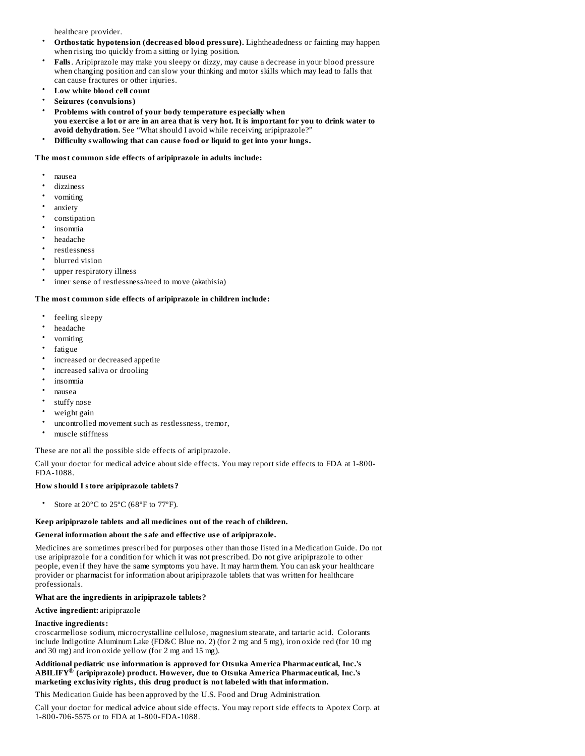healthcare provider.

- **Orthostatic hypotension (decreas ed blood pressure).** Lightheadedness or fainting may happen when rising too quickly from a sitting or lying position.
- **Falls**. Aripiprazole may make you sleepy or dizzy, may cause a decrease in your blood pressure when changing position and can slow your thinking and motor skills which may lead to falls that can cause fractures or other injuries.
- **Low white blood cell count**
- **Seizures (convulsions)**
- **Problems with control of your body temperature especially when** you exercise a lot or are in an area that is very hot. It is important for you to drink water to **avoid dehydration.** See "What should I avoid while receiving aripiprazole?"
- **Difficulty swallowing that can caus e food or liquid to get into your lungs.**

### **The most common side effects of aripiprazole in adults include:**

- nausea
- dizziness
- vomiting
- anxiety
- constipation
- insomnia
- headache
- restlessness
- blurred vision
- upper respiratory illness
- inner sense of restlessness/need to move (akathisia)

#### **The most common side effects of aripiprazole in children include:**

- feeling sleepy
- headache
- vomiting
- fatigue
- increased or decreased appetite
- increased saliva or drooling
- insomnia
- nausea
- stuffy nose
- weight gain
- uncontrolled movement such as restlessness, tremor,
- muscle stiffness

These are not all the possible side effects of aripiprazole.

Call your doctor for medical advice about side effects. You may report side effects to FDA at 1-800- FDA-1088.

#### **How should I store aripiprazole tablets?**

• Store at 20ºC to 25ºC (68ºF to 77ºF).

#### **Keep aripiprazole tablets and all medicines out of the reach of children.**

### **General information about the safe and effective us e of aripiprazole.**

Medicines are sometimes prescribed for purposes other than those listed in a Medication Guide. Do not use aripiprazole for a condition for which it was not prescribed. Do not give aripiprazole to other people, even if they have the same symptoms you have. It may harm them. You can ask your healthcare provider or pharmacist for information about aripiprazole tablets that was written for healthcare professionals.

### **What are the ingredients in aripiprazole tablets?**

**Active ingredient:** aripiprazole

#### **Inactive ingredients:**

croscarmellose sodium, microcrystalline cellulose, magnesium stearate, and tartaric acid. Colorants include Indigotine Aluminum Lake (FD&C Blue no. 2) (for 2 mg and 5 mg), iron oxide red (for 10 mg and 30 mg) and iron oxide yellow (for 2 mg and 15 mg).

**Additional pediatric us e information is approved for Otsuka America Pharmaceutical, Inc.'s ABILIFY (aripiprazole) product. However, due to Otsuka America Pharmaceutical, Inc.'s ®marketing exclusivity rights, this drug product is not labeled with that information.**

This Medication Guide has been approved by the U.S. Food and Drug Administration.

Call your doctor for medical advice about side effects. You may report side effects to Apotex Corp. at 1-800-706-5575 or to FDA at 1-800-FDA-1088.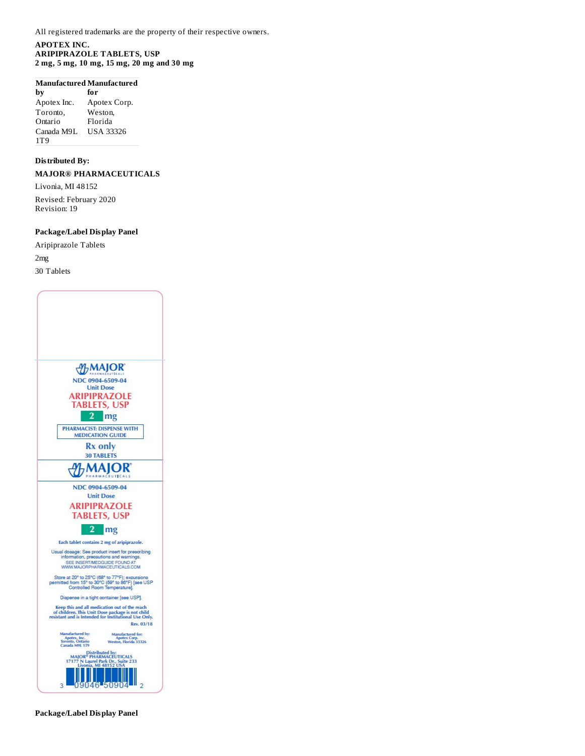All registered trademarks are the property of their respective owners.

#### **APOTEX INC. ARIPIPRAZOLE TABLETS, USP 2 mg, 5 mg, 10 mg, 15 mg, 20 mg and 30 mg**

# **Manufactured Manufactured**

**by for** Apotex Inc. Apotex Corp. Toronto, Ontario Weston, Florida Canada M9L USA 33326 1T9

# **Distributed By:**

# **MAJOR® PHARMACEUTICALS**

#### Livonia, MI 48152

Revised: February 2020 Revision: 19

# **Package/Label Display Panel**

Aripiprazole Tablets

2mg

30 Tablets



**Package/Label Display Panel**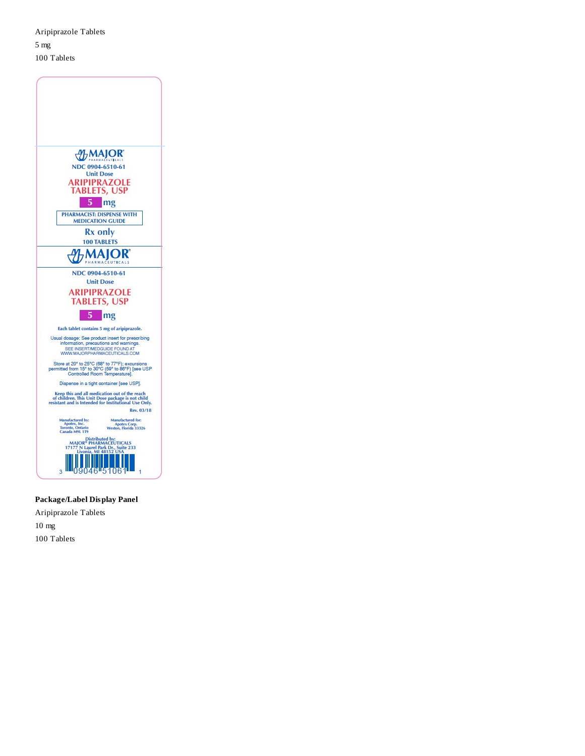Aripiprazole Tablets 5 mg 100 Tablets



**Package/Label Display Panel**

Aripiprazole Tablets 10 mg 100 Tablets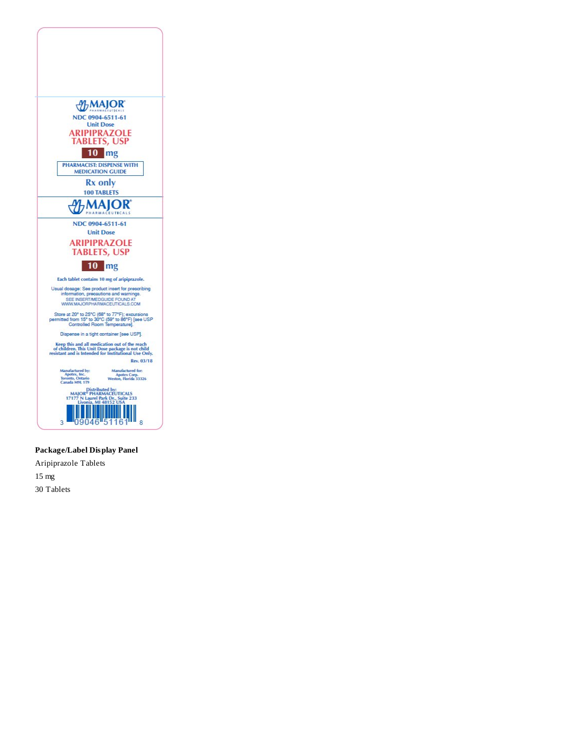

### **Package/Label Display Panel**

Aripiprazole Tablets 15 mg 30 Tablets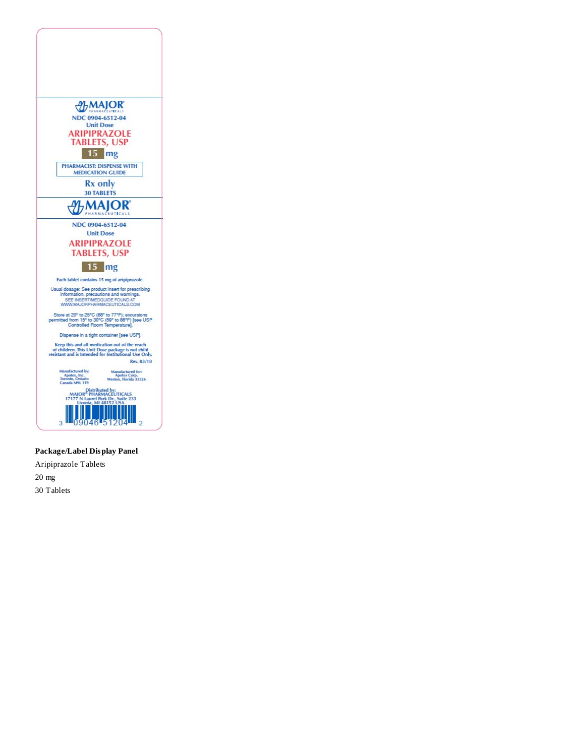

# **Package/Label Display Panel**

Aripiprazole Tablets 20 mg 30 Tablets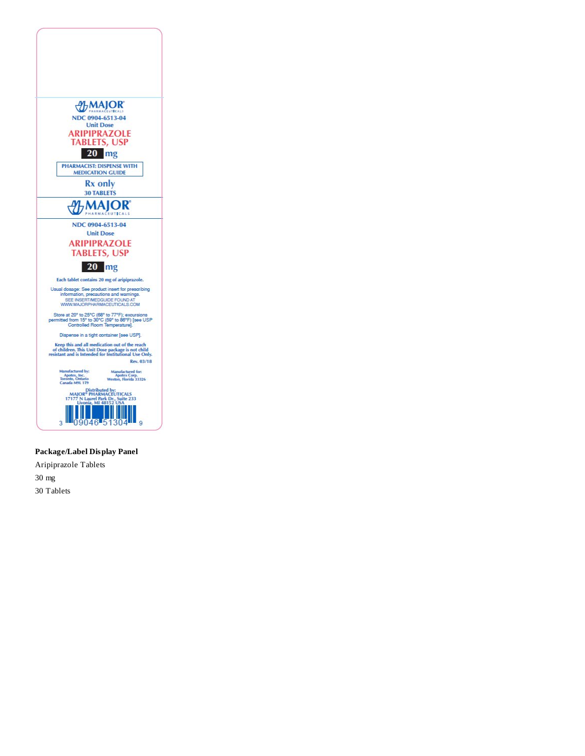

# **Package/Label Display Panel**

Aripiprazole Tablets 30 mg 30 Tablets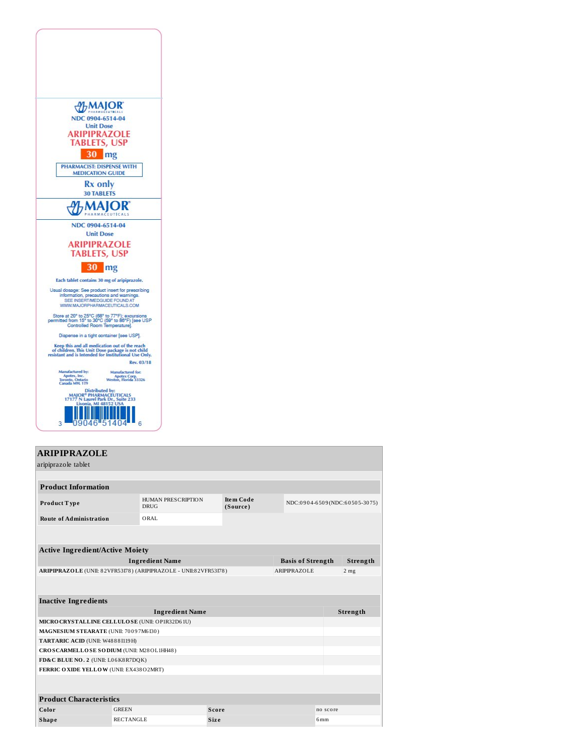

| <b>ARIPIPRAZOLE</b>                                              |                  |                                   |                              |                          |                 |                               |
|------------------------------------------------------------------|------------------|-----------------------------------|------------------------------|--------------------------|-----------------|-------------------------------|
| aripiprazole tablet                                              |                  |                                   |                              |                          |                 |                               |
|                                                                  |                  |                                   |                              |                          |                 |                               |
| <b>Product Information</b>                                       |                  |                                   |                              |                          |                 |                               |
| Product Type                                                     |                  | HUMAN PRESCRIPTION<br><b>DRUG</b> | <b>Item Code</b><br>(Source) |                          |                 | NDC:0904-6509(NDC:60505-3075) |
| <b>Route of Administration</b>                                   |                  | ORAL.                             |                              |                          |                 |                               |
|                                                                  |                  |                                   |                              |                          |                 |                               |
|                                                                  |                  |                                   |                              |                          |                 |                               |
| <b>Active Ingredient/Active Moiety</b>                           |                  |                                   |                              |                          |                 |                               |
|                                                                  |                  | <b>Ingredient Name</b>            |                              | <b>Basis of Strength</b> |                 | Strength                      |
| ARIPIPRAZOLE (UNII: 82VFR53I78) (ARIPIPRAZOLE - UNII:82VFR53I78) |                  |                                   |                              | <b>ARIPIPRAZOLE</b>      |                 | 2 <sub>mg</sub>               |
|                                                                  |                  |                                   |                              |                          |                 |                               |
|                                                                  |                  |                                   |                              |                          |                 |                               |
| <b>Inactive Ingredients</b>                                      |                  |                                   |                              |                          |                 |                               |
|                                                                  |                  | <b>Ingredient Name</b>            |                              |                          |                 | Strength                      |
| MICRO CRYSTALLINE CELLULO SE (UNII: OP1R32D61U)                  |                  |                                   |                              |                          |                 |                               |
| MAGNESIUM STEARATE (UNII: 70097M6I30)                            |                  |                                   |                              |                          |                 |                               |
| TARTARIC ACID (UNII: W48881119H)                                 |                  |                                   |                              |                          |                 |                               |
| CROSCARMELLOSE SODIUM (UNII: M28OL1HH48)                         |                  |                                   |                              |                          |                 |                               |
| FD&C BLUE NO. 2 (UNII: L06K8R7DQK)                               |                  |                                   |                              |                          |                 |                               |
| FERRIC OXIDE YELLOW (UNII: EX438O2MRT)                           |                  |                                   |                              |                          |                 |                               |
|                                                                  |                  |                                   |                              |                          |                 |                               |
| <b>Product Characteristics</b>                                   |                  |                                   |                              |                          |                 |                               |
| Color                                                            | <b>GREEN</b>     |                                   | Score                        |                          | no score        |                               |
| <b>Shape</b>                                                     | <b>RECTANGLE</b> |                                   | Size                         |                          | 6 <sub>mm</sub> |                               |
|                                                                  |                  |                                   |                              |                          |                 |                               |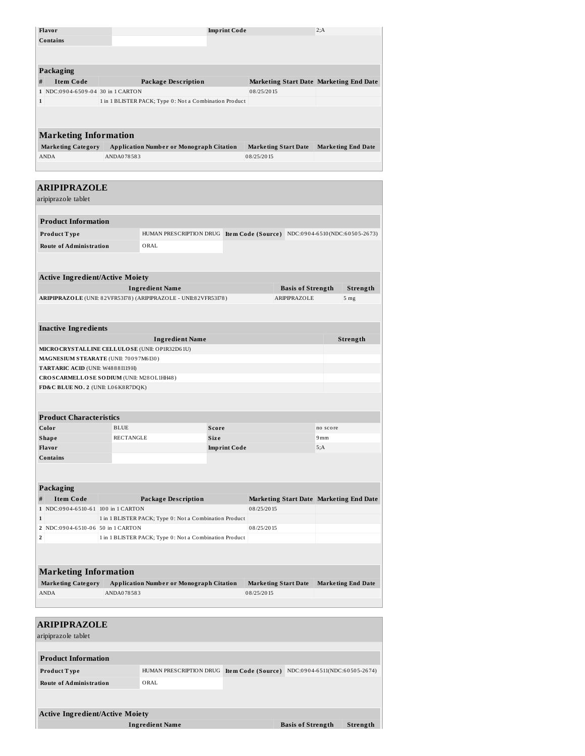| <b>Flavor</b>                                                                                                                                                                                                                                                                                                                                                                                                                                   |            | <b>Imprint Code</b>                                                      |            |                                                | 2;A      |                           |
|-------------------------------------------------------------------------------------------------------------------------------------------------------------------------------------------------------------------------------------------------------------------------------------------------------------------------------------------------------------------------------------------------------------------------------------------------|------------|--------------------------------------------------------------------------|------------|------------------------------------------------|----------|---------------------------|
| <b>Contains</b>                                                                                                                                                                                                                                                                                                                                                                                                                                 |            |                                                                          |            |                                                |          |                           |
|                                                                                                                                                                                                                                                                                                                                                                                                                                                 |            |                                                                          |            |                                                |          |                           |
|                                                                                                                                                                                                                                                                                                                                                                                                                                                 |            |                                                                          |            |                                                |          |                           |
| <b>Packaging</b>                                                                                                                                                                                                                                                                                                                                                                                                                                |            |                                                                          |            |                                                |          |                           |
| <b>Item Code</b><br>#                                                                                                                                                                                                                                                                                                                                                                                                                           |            | <b>Package Description</b>                                               |            | <b>Marketing Start Date Marketing End Date</b> |          |                           |
| 1 NDC:0904-6509-04 30 in 1 CARTON<br>$\mathbf 1$                                                                                                                                                                                                                                                                                                                                                                                                |            |                                                                          | 08/25/2015 |                                                |          |                           |
|                                                                                                                                                                                                                                                                                                                                                                                                                                                 |            | 1 in 1 BLISTER PACK; Type 0: Not a Combination Product                   |            |                                                |          |                           |
|                                                                                                                                                                                                                                                                                                                                                                                                                                                 |            |                                                                          |            |                                                |          |                           |
| <b>Marketing Information</b>                                                                                                                                                                                                                                                                                                                                                                                                                    |            |                                                                          |            |                                                |          |                           |
| <b>Marketing Category</b>                                                                                                                                                                                                                                                                                                                                                                                                                       |            | <b>Application Number or Monograph Citation</b>                          |            | <b>Marketing Start Date</b>                    |          | <b>Marketing End Date</b> |
| <b>ANDA</b>                                                                                                                                                                                                                                                                                                                                                                                                                                     | ANDA078583 |                                                                          | 08/25/2015 |                                                |          |                           |
|                                                                                                                                                                                                                                                                                                                                                                                                                                                 |            |                                                                          |            |                                                |          |                           |
|                                                                                                                                                                                                                                                                                                                                                                                                                                                 |            |                                                                          |            |                                                |          |                           |
| <b>ARIPIPRAZOLE</b>                                                                                                                                                                                                                                                                                                                                                                                                                             |            |                                                                          |            |                                                |          |                           |
| aripiprazole tablet                                                                                                                                                                                                                                                                                                                                                                                                                             |            |                                                                          |            |                                                |          |                           |
|                                                                                                                                                                                                                                                                                                                                                                                                                                                 |            |                                                                          |            |                                                |          |                           |
| <b>Product Information</b>                                                                                                                                                                                                                                                                                                                                                                                                                      |            |                                                                          |            |                                                |          |                           |
| Product Type                                                                                                                                                                                                                                                                                                                                                                                                                                    |            | HUMAN PRESCRIPTION DRUG Item Code (Source) NDC:0904-6510(NDC:60505-2673) |            |                                                |          |                           |
| <b>Route of Administration</b>                                                                                                                                                                                                                                                                                                                                                                                                                  |            | ORAL                                                                     |            |                                                |          |                           |
|                                                                                                                                                                                                                                                                                                                                                                                                                                                 |            |                                                                          |            |                                                |          |                           |
|                                                                                                                                                                                                                                                                                                                                                                                                                                                 |            |                                                                          |            |                                                |          |                           |
| <b>Active Ingredient/Active Moiety</b>                                                                                                                                                                                                                                                                                                                                                                                                          |            | <b>Ingredient Name</b>                                                   |            | <b>Basis of Strength</b>                       |          | Strength                  |
|                                                                                                                                                                                                                                                                                                                                                                                                                                                 |            | ARIPIPRAZOLE (UNII: 82VFR53I78) (ARIPIPRAZOLE - UNII:82VFR53I78)         |            | ARIPIPRAZOLE                                   |          | 5 mg                      |
|                                                                                                                                                                                                                                                                                                                                                                                                                                                 |            |                                                                          |            |                                                |          |                           |
|                                                                                                                                                                                                                                                                                                                                                                                                                                                 |            |                                                                          |            |                                                |          |                           |
|                                                                                                                                                                                                                                                                                                                                                                                                                                                 |            | <b>Ingredient Name</b>                                                   |            |                                                |          | Strength                  |
|                                                                                                                                                                                                                                                                                                                                                                                                                                                 |            |                                                                          |            |                                                |          |                           |
|                                                                                                                                                                                                                                                                                                                                                                                                                                                 |            |                                                                          |            |                                                |          |                           |
|                                                                                                                                                                                                                                                                                                                                                                                                                                                 |            |                                                                          |            |                                                |          |                           |
|                                                                                                                                                                                                                                                                                                                                                                                                                                                 |            |                                                                          |            |                                                |          |                           |
|                                                                                                                                                                                                                                                                                                                                                                                                                                                 |            |                                                                          |            |                                                |          |                           |
|                                                                                                                                                                                                                                                                                                                                                                                                                                                 |            |                                                                          |            |                                                |          |                           |
|                                                                                                                                                                                                                                                                                                                                                                                                                                                 |            |                                                                          |            |                                                |          |                           |
|                                                                                                                                                                                                                                                                                                                                                                                                                                                 | BLUE       | Score                                                                    |            |                                                | no score |                           |
|                                                                                                                                                                                                                                                                                                                                                                                                                                                 | RECTANGLE  | Size                                                                     |            |                                                | 9mm      |                           |
|                                                                                                                                                                                                                                                                                                                                                                                                                                                 |            | <b>Imprint Code</b>                                                      |            |                                                | 5;A      |                           |
|                                                                                                                                                                                                                                                                                                                                                                                                                                                 |            |                                                                          |            |                                                |          |                           |
|                                                                                                                                                                                                                                                                                                                                                                                                                                                 |            |                                                                          |            |                                                |          |                           |
|                                                                                                                                                                                                                                                                                                                                                                                                                                                 |            |                                                                          |            |                                                |          |                           |
| <b>Item Code</b>                                                                                                                                                                                                                                                                                                                                                                                                                                |            | <b>Package Description</b>                                               |            | Marketing Start Date Marketing End Date        |          |                           |
|                                                                                                                                                                                                                                                                                                                                                                                                                                                 |            |                                                                          | 08/25/2015 |                                                |          |                           |
|                                                                                                                                                                                                                                                                                                                                                                                                                                                 |            | 1 in 1 BLISTER PACK; Type 0: Not a Combination Product                   |            |                                                |          |                           |
|                                                                                                                                                                                                                                                                                                                                                                                                                                                 |            |                                                                          | 08/25/2015 |                                                |          |                           |
| <b>Inactive Ingredients</b><br>MICRO CRYSTALLINE CELLULOSE (UNII: OP1R32D61U)<br>MAGNESIUM STEARATE (UNII: 70097M6I30)<br>TARTARIC ACID (UNII: W48881119H)<br>CROSCARMELLOSE SODIUM (UNII: M28OL1HH48)<br>FD&C BLUE NO. 2 (UNII: L06K8R7DQK)<br><b>Product Characteristics</b><br>Color<br><b>Shape</b><br>Flavor<br>Contains<br>Packaging<br>#<br>1 NDC:0904-6510-61 100 in 1 CARTON<br>$\mathbf{1}$<br>2 NDC:0904-6510-06 50 in 1 CARTON<br>2 |            | 1 in 1 BLISTER PACK; Type 0: Not a Combination Product                   |            |                                                |          |                           |
|                                                                                                                                                                                                                                                                                                                                                                                                                                                 |            |                                                                          |            |                                                |          |                           |
|                                                                                                                                                                                                                                                                                                                                                                                                                                                 |            |                                                                          |            |                                                |          |                           |
| <b>Marketing Information</b><br><b>Marketing Category</b>                                                                                                                                                                                                                                                                                                                                                                                       |            | <b>Application Number or Monograph Citation</b>                          |            | <b>Marketing Start Date</b>                    |          | <b>Marketing End Date</b> |

| <b>ARIPIPRAZOLE</b>                    |                         |                                                  |          |
|----------------------------------------|-------------------------|--------------------------------------------------|----------|
| aripiprazole tablet                    |                         |                                                  |          |
|                                        |                         |                                                  |          |
| <b>Product Information</b>             |                         |                                                  |          |
| Product Type                           | HUMAN PRESCRIPTION DRUG | Item Code (Source) NDC:0904-6511(NDC:60505-2674) |          |
| <b>Route of Administration</b>         | ORAL                    |                                                  |          |
|                                        |                         |                                                  |          |
|                                        |                         |                                                  |          |
| <b>Active Ingredient/Active Moiety</b> |                         |                                                  |          |
|                                        | <b>Ingredient Name</b>  | <b>Basis of Strength</b>                         | Strength |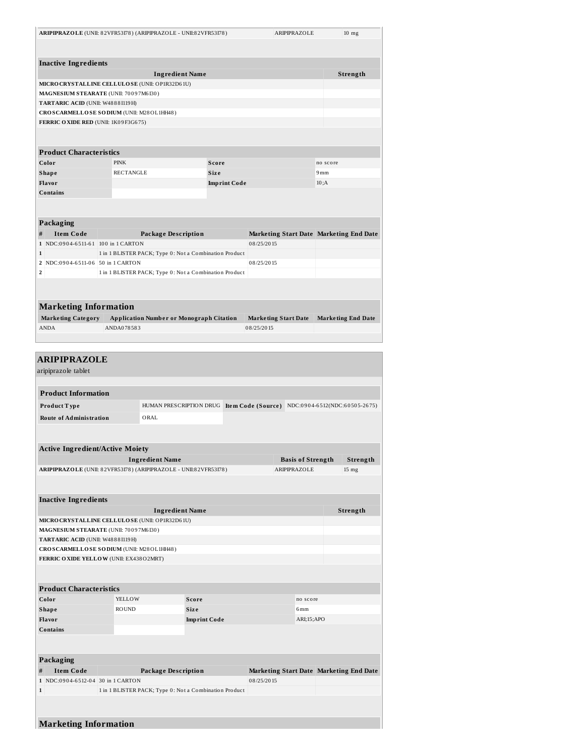| ARIPIPRAZOLE (UNII: 82VFR53I78) (ARIPIPRAZOLE - UNII:82VFR53I78) |             |                                                                          |                     |                     |                             | ARIPIPRAZOLE             |          | $10$ mg                                        |
|------------------------------------------------------------------|-------------|--------------------------------------------------------------------------|---------------------|---------------------|-----------------------------|--------------------------|----------|------------------------------------------------|
| <b>Inactive Ingredients</b>                                      |             |                                                                          |                     |                     |                             |                          |          |                                                |
|                                                                  |             | <b>Ingredient Name</b>                                                   |                     |                     |                             |                          |          | Strength                                       |
| MICRO CRYSTALLINE CELLULOSE (UNII: OP1R32D61U)                   |             |                                                                          |                     |                     |                             |                          |          |                                                |
| MAGNESIUM STEARATE (UNII: 70097M6I30)                            |             |                                                                          |                     |                     |                             |                          |          |                                                |
| TARTARIC ACID (UNII: W4888I119H)                                 |             |                                                                          |                     |                     |                             |                          |          |                                                |
| CROSCARMELLOSE SODIUM (UNII: M28OL1HH48)                         |             |                                                                          |                     |                     |                             |                          |          |                                                |
| FERRIC OXIDE RED (UNII: 1K09F3G675)                              |             |                                                                          |                     |                     |                             |                          |          |                                                |
|                                                                  |             |                                                                          |                     |                     |                             |                          |          |                                                |
| <b>Product Characteristics</b>                                   |             |                                                                          |                     |                     |                             |                          |          |                                                |
| Color                                                            | <b>PINK</b> |                                                                          |                     | Score               |                             |                          | no score |                                                |
| Shape                                                            | RECTANGLE   |                                                                          |                     | Size                |                             |                          | 9mm      |                                                |
| Flavor                                                           |             |                                                                          |                     | <b>Imprint Code</b> |                             |                          | 10: A    |                                                |
| <b>Contains</b>                                                  |             |                                                                          |                     |                     |                             |                          |          |                                                |
|                                                                  |             |                                                                          |                     |                     |                             |                          |          |                                                |
| <b>Packaging</b>                                                 |             |                                                                          |                     |                     |                             |                          |          |                                                |
| <b>Item Code</b><br>#                                            |             | <b>Package Description</b>                                               |                     |                     |                             |                          |          | Marketing Start Date Marketing End Date        |
| 1 NDC:0904-6511-61 100 in 1 CARTON                               |             |                                                                          |                     |                     | 08/25/2015                  |                          |          |                                                |
| $\mathbf{1}$                                                     |             | 1 in 1 BLISTER PACK; Type 0: Not a Combination Product                   |                     |                     |                             |                          |          |                                                |
| 2 NDC:0904-6511-06 50 in 1 CARTON                                |             |                                                                          |                     |                     | 08/25/2015                  |                          |          |                                                |
| 2                                                                |             | 1 in 1 BLISTER PACK; Type 0: Not a Combination Product                   |                     |                     |                             |                          |          |                                                |
|                                                                  |             |                                                                          |                     |                     |                             |                          |          |                                                |
|                                                                  |             |                                                                          |                     |                     |                             |                          |          |                                                |
| <b>Marketing Information</b>                                     |             |                                                                          |                     |                     |                             |                          |          |                                                |
| <b>Marketing Category</b>                                        |             | <b>Application Number or Monograph Citation</b>                          |                     |                     | <b>Marketing Start Date</b> |                          |          | <b>Marketing End Date</b>                      |
| <b>ANDA</b>                                                      | ANDA078583  |                                                                          |                     |                     | 08/25/2015                  |                          |          |                                                |
|                                                                  |             |                                                                          |                     |                     |                             |                          |          |                                                |
|                                                                  |             |                                                                          |                     |                     |                             |                          |          |                                                |
| <b>ARIPIPRAZOLE</b>                                              |             |                                                                          |                     |                     |                             |                          |          |                                                |
| aripiprazole tablet                                              |             |                                                                          |                     |                     |                             |                          |          |                                                |
|                                                                  |             |                                                                          |                     |                     |                             |                          |          |                                                |
| <b>Product Information</b>                                       |             |                                                                          |                     |                     |                             |                          |          |                                                |
| Product Type                                                     |             | HUMAN PRESCRIPTION DRUG Item Code (Source) NDC:0904-6512(NDC:60505-2675) |                     |                     |                             |                          |          |                                                |
| <b>Route of Administration</b>                                   |             | ORAL                                                                     |                     |                     |                             |                          |          |                                                |
|                                                                  |             |                                                                          |                     |                     |                             |                          |          |                                                |
|                                                                  |             |                                                                          |                     |                     |                             |                          |          |                                                |
| <b>Active Ingredient/Active Moiety</b>                           |             |                                                                          |                     |                     |                             |                          |          |                                                |
|                                                                  |             | <b>Ingredient Name</b>                                                   |                     |                     |                             | <b>Basis of Strength</b> |          | Strength                                       |
| ARIPIPRAZOLE (UNII: 82VFR53I78) (ARIPIPRAZOLE - UNII:82VFR53I78) |             |                                                                          |                     |                     |                             | ARIPIPRAZOLE             |          | 15 mg                                          |
|                                                                  |             |                                                                          |                     |                     |                             |                          |          |                                                |
|                                                                  |             |                                                                          |                     |                     |                             |                          |          |                                                |
| <b>Inactive Ingredients</b>                                      |             |                                                                          |                     |                     |                             |                          |          |                                                |
|                                                                  |             | <b>Ingredient Name</b>                                                   |                     |                     |                             |                          |          | Strength                                       |
| MICRO CRYSTALLINE CELLULOSE (UNII: OP1R32D61U)                   |             |                                                                          |                     |                     |                             |                          |          |                                                |
| MAGNESIUM STEARATE (UNII: 70097M6I30)                            |             |                                                                          |                     |                     |                             |                          |          |                                                |
| TARTARIC ACID (UNII: W48881119H)                                 |             |                                                                          |                     |                     |                             |                          |          |                                                |
| CROSCARMELLOSE SODIUM (UNII: M28OL1HH48)                         |             |                                                                          |                     |                     |                             |                          |          |                                                |
| FERRIC OXIDE YELLOW (UNII: EX438O2MRT)                           |             |                                                                          |                     |                     |                             |                          |          |                                                |
|                                                                  |             |                                                                          |                     |                     |                             |                          |          |                                                |
| <b>Product Characteristics</b>                                   |             |                                                                          |                     |                     |                             |                          |          |                                                |
| Color                                                            | YELLOW      |                                                                          | Score               |                     |                             | no score                 |          |                                                |
| Shape                                                            | ROUND       |                                                                          | Size                |                     |                             | 6mm                      |          |                                                |
| Flavor                                                           |             |                                                                          | <b>Imprint Code</b> |                     |                             | ARI;15;APO               |          |                                                |
| <b>Contains</b>                                                  |             |                                                                          |                     |                     |                             |                          |          |                                                |
|                                                                  |             |                                                                          |                     |                     |                             |                          |          |                                                |
|                                                                  |             |                                                                          |                     |                     |                             |                          |          |                                                |
| <b>Packaging</b>                                                 |             |                                                                          |                     |                     |                             |                          |          |                                                |
| <b>Item Code</b><br>#                                            |             | Package Description                                                      |                     |                     |                             |                          |          | <b>Marketing Start Date Marketing End Date</b> |
| 1 NDC:0904-6512-04 30 in 1 CARTON                                |             |                                                                          |                     |                     | 08/25/2015                  |                          |          |                                                |
| 1                                                                |             | 1 in 1 BLISTER PACK; Type 0: Not a Combination Product                   |                     |                     |                             |                          |          |                                                |
|                                                                  |             |                                                                          |                     |                     |                             |                          |          |                                                |
|                                                                  |             |                                                                          |                     |                     |                             |                          |          |                                                |
| <b>Marketing Information</b>                                     |             |                                                                          |                     |                     |                             |                          |          |                                                |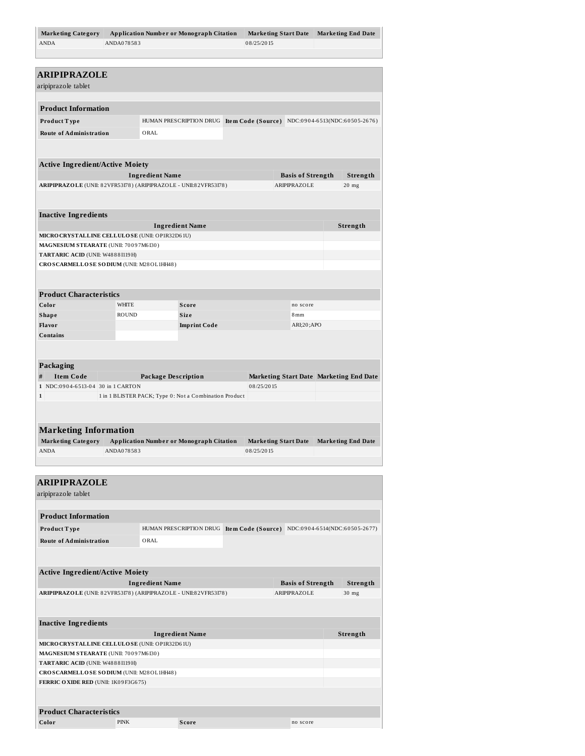| <b>Marketing Category</b>                                                               |              |                            | <b>Application Number or Monograph Citation</b>                          |            | <b>Marketing Start Date</b> | <b>Marketing End Date</b>                        |
|-----------------------------------------------------------------------------------------|--------------|----------------------------|--------------------------------------------------------------------------|------------|-----------------------------|--------------------------------------------------|
| <b>ANDA</b>                                                                             | ANDA078583   |                            |                                                                          | 08/25/2015 |                             |                                                  |
|                                                                                         |              |                            |                                                                          |            |                             |                                                  |
|                                                                                         |              |                            |                                                                          |            |                             |                                                  |
| ARIPIPRAZOLE                                                                            |              |                            |                                                                          |            |                             |                                                  |
| aripiprazole tablet                                                                     |              |                            |                                                                          |            |                             |                                                  |
|                                                                                         |              |                            |                                                                          |            |                             |                                                  |
| <b>Product Information</b>                                                              |              |                            |                                                                          |            |                             |                                                  |
| Product Type                                                                            |              |                            | HUMAN PRESCRIPTION DRUG Item Code (Source) NDC:0904-6513(NDC:60505-2676) |            |                             |                                                  |
| <b>Route of Administration</b>                                                          |              | ORAL                       |                                                                          |            |                             |                                                  |
|                                                                                         |              |                            |                                                                          |            |                             |                                                  |
|                                                                                         |              |                            |                                                                          |            |                             |                                                  |
| <b>Active Ingredient/Active Moiety</b>                                                  |              |                            |                                                                          |            |                             |                                                  |
|                                                                                         |              | <b>Ingredient Name</b>     |                                                                          |            | <b>Basis of Strength</b>    | Strength                                         |
| ARIPIPRAZOLE (UNII: 82VFR53I78) (ARIPIPRAZOLE - UNII:82VFR53I78)                        |              |                            |                                                                          |            | ARIPIPRAZOLE                | $20$ mg                                          |
|                                                                                         |              |                            |                                                                          |            |                             |                                                  |
| <b>Inactive Ingredients</b>                                                             |              |                            |                                                                          |            |                             |                                                  |
|                                                                                         |              |                            | <b>Ingredient Name</b>                                                   |            |                             | Strength                                         |
| MICRO CRYSTALLINE CELLULOSE (UNII: OP1R32D61U)                                          |              |                            |                                                                          |            |                             |                                                  |
| MAGNESIUM STEARATE (UNII: 70097M6I30)                                                   |              |                            |                                                                          |            |                             |                                                  |
| TARTARIC ACID (UNII: W48881119H)                                                        |              |                            |                                                                          |            |                             |                                                  |
| CROSCARMELLOSE SODIUM (UNII: M28OL1HH48)                                                |              |                            |                                                                          |            |                             |                                                  |
|                                                                                         |              |                            |                                                                          |            |                             |                                                  |
| <b>Product Characteristics</b>                                                          |              |                            |                                                                          |            |                             |                                                  |
| Color                                                                                   | <b>WHITE</b> |                            | Score                                                                    |            | no score                    |                                                  |
| <b>Shape</b>                                                                            | <b>ROUND</b> |                            | Size                                                                     |            | 8 <sub>mm</sub>             |                                                  |
| <b>Flavor</b>                                                                           |              |                            | <b>Imprint Code</b>                                                      |            | ARI;20;APO                  |                                                  |
| Contains                                                                                |              |                            |                                                                          |            |                             |                                                  |
|                                                                                         |              |                            |                                                                          |            |                             |                                                  |
|                                                                                         |              |                            |                                                                          |            |                             |                                                  |
| Packaging                                                                               |              |                            |                                                                          |            |                             |                                                  |
| #<br><b>Item Code</b>                                                                   |              | <b>Package Description</b> |                                                                          |            |                             | Marketing Start Date Marketing End Date          |
| 1 NDC:0904-6513-04 30 in 1 CARTON<br>$\mathbf 1$                                        |              |                            | 1 in 1 BLISTER PACK; Type 0: Not a Combination Product                   | 08/25/2015 |                             |                                                  |
|                                                                                         |              |                            |                                                                          |            |                             |                                                  |
|                                                                                         |              |                            |                                                                          |            |                             |                                                  |
| <b>Marketing Information</b>                                                            |              |                            |                                                                          |            |                             |                                                  |
| <b>Marketing Category</b>                                                               |              |                            |                                                                          |            |                             | <b>Marketing End Date</b>                        |
| <b>ANDA</b>                                                                             | ANDA078583   |                            | <b>Application Number or Monograph Citation</b>                          | 08/25/2015 | <b>Marketing Start Date</b> |                                                  |
|                                                                                         |              |                            |                                                                          |            |                             |                                                  |
|                                                                                         |              |                            |                                                                          |            |                             |                                                  |
| <b>ARIPIPRAZOLE</b>                                                                     |              |                            |                                                                          |            |                             |                                                  |
| aripiprazole tablet                                                                     |              |                            |                                                                          |            |                             |                                                  |
|                                                                                         |              |                            |                                                                          |            |                             |                                                  |
| <b>Product Information</b>                                                              |              |                            |                                                                          |            |                             |                                                  |
| Product Type                                                                            |              |                            | HUMAN PRESCRIPTION DRUG                                                  |            |                             | Item Code (Source) NDC:0904-6514(NDC:60505-2677) |
| <b>Route of Administration</b>                                                          |              | ORAL                       |                                                                          |            |                             |                                                  |
|                                                                                         |              |                            |                                                                          |            |                             |                                                  |
|                                                                                         |              |                            |                                                                          |            |                             |                                                  |
| <b>Active Ingredient/Active Moiety</b>                                                  |              |                            |                                                                          |            |                             |                                                  |
|                                                                                         |              | <b>Ingredient Name</b>     |                                                                          |            | <b>Basis of Strength</b>    | Strength                                         |
| ARIPIPRAZOLE (UNII: 82VFR53I78) (ARIPIPRAZOLE - UNII:82VFR53I78)                        |              |                            |                                                                          |            | ARIPIPRAZOLE                | 30 mg                                            |
|                                                                                         |              |                            |                                                                          |            |                             |                                                  |
|                                                                                         |              |                            |                                                                          |            |                             |                                                  |
| <b>Inactive Ingredients</b>                                                             |              |                            |                                                                          |            |                             |                                                  |
|                                                                                         |              |                            | <b>Ingredient Name</b>                                                   |            |                             | Strength                                         |
| MICRO CRYSTALLINE CELLULOSE (UNII: OP1R32D61U)<br>MAGNESIUM STEARATE (UNII: 70097M6I30) |              |                            |                                                                          |            |                             |                                                  |
| TARTARIC ACID (UNII: W48881119H)                                                        |              |                            |                                                                          |            |                             |                                                  |
| CROSCARMELLOSE SODIUM (UNII: M28OL1HH48)                                                |              |                            |                                                                          |            |                             |                                                  |
| FERRIC OXIDE RED (UNII: 1K09F3G675)                                                     |              |                            |                                                                          |            |                             |                                                  |
|                                                                                         |              |                            |                                                                          |            |                             |                                                  |
|                                                                                         |              |                            |                                                                          |            |                             |                                                  |
| <b>Product Characteristics</b>                                                          |              |                            |                                                                          |            |                             |                                                  |

**Color Color PINK Score Score no** score